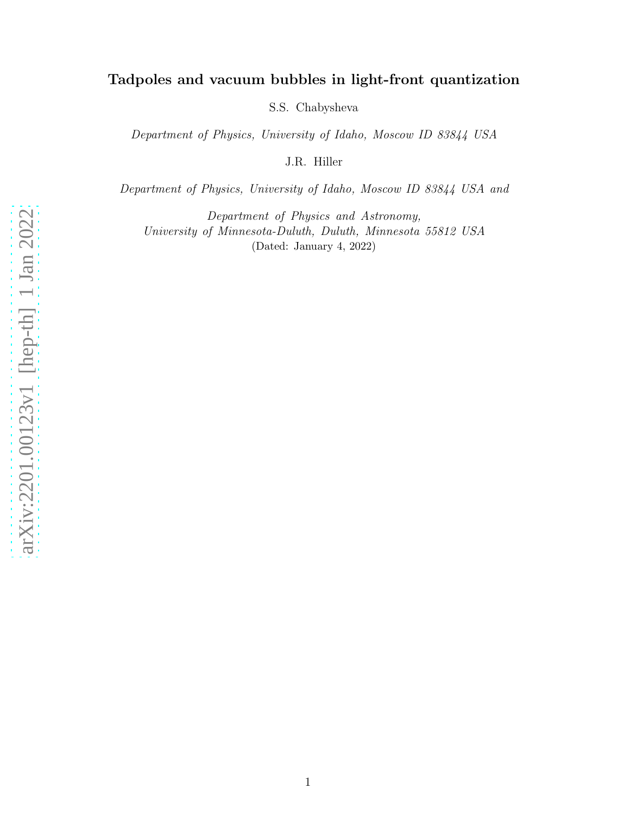# Tadpoles and vacuum bubbles in light-front quantization

S.S. Chabysheva

Department of Physics, University of Idaho, Moscow ID 83844 USA

J.R. Hiller

Department of Physics, University of Idaho, Moscow ID 83844 USA and

Department of Physics and Astronomy, University of Minnesota-Duluth, Duluth, Minnesota 55812 USA (Dated: January 4, 2022)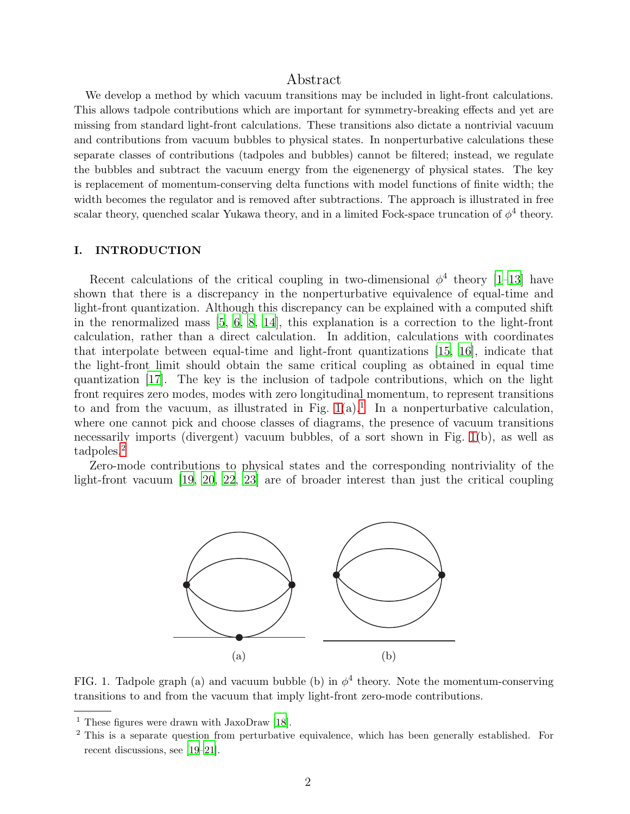## Abstract

We develop a method by which vacuum transitions may be included in light-front calculations. This allows tadpole contributions which are important for symmetry-breaking effects and yet are missing from standard light-front calculations. These transitions also dictate a nontrivial vacuum and contributions from vacuum bubbles to physical states. In nonperturbative calculations these separate classes of contributions (tadpoles and bubbles) cannot be filtered; instead, we regulate the bubbles and subtract the vacuum energy from the eigenenergy of physical states. The key is replacement of momentum-conserving delta functions with model functions of finite width; the width becomes the regulator and is removed after subtractions. The approach is illustrated in free scalar theory, quenched scalar Yukawa theory, and in a limited Fock-space truncation of  $\phi^4$  theory.

#### I. INTRODUCTION

Recent calculations of the critical coupling in two-dimensional  $\phi^4$  theory [\[1](#page-16-0)[–13](#page-17-0)] have shown that there is a discrepancy in the nonperturbative equivalence of equal-time and light-front quantization. Although this discrepancy can be explained with a computed shift in the renormalized mass [\[5,](#page-16-1) [6](#page-16-2), [8,](#page-16-3) [14\]](#page-17-1), this explanation is a correction to the light-front calculation, rather than a direct calculation. In addition, calculations with coordinates that interpolate between equal-time and light-front quantizations [\[15,](#page-17-2) [16](#page-17-3)], indicate that the light-front limit should obtain the same critical coupling as obtained in equal time quantization [\[17](#page-17-4)]. The key is the inclusion of tadpole contributions, which on the light front requires zero modes, modes with zero longitudinal momentum, to represent transitions to and from the vacuum, as illustrated in Fig.  $1(a)$  $1(a)$ .<sup>1</sup> In a nonperturbative calculation, where one cannot pick and choose classes of diagrams, the presence of vacuum transitions necessarily imports (divergent) vacuum bubbles, of a sort shown in Fig. [1\(](#page-1-0)b), as well as tadpoles.[2](#page-1-2)

Zero-mode contributions to physical states and the corresponding nontriviality of the light-front vacuum [\[19,](#page-17-5) [20,](#page-17-6) [22,](#page-17-7) [23\]](#page-17-8) are of broader interest than just the critical coupling



<span id="page-1-0"></span>FIG. 1. Tadpole graph (a) and vacuum bubble (b) in  $\phi^4$  theory. Note the momentum-conserving transitions to and from the vacuum that imply light-front zero-mode contributions.

<sup>1</sup> These figures were drawn with JaxoDraw [\[18](#page-17-9)].

<span id="page-1-2"></span><span id="page-1-1"></span><sup>2</sup> This is a separate question from perturbative equivalence, which has been generally established. For recent discussions, see [\[19](#page-17-5)[–21\]](#page-17-10).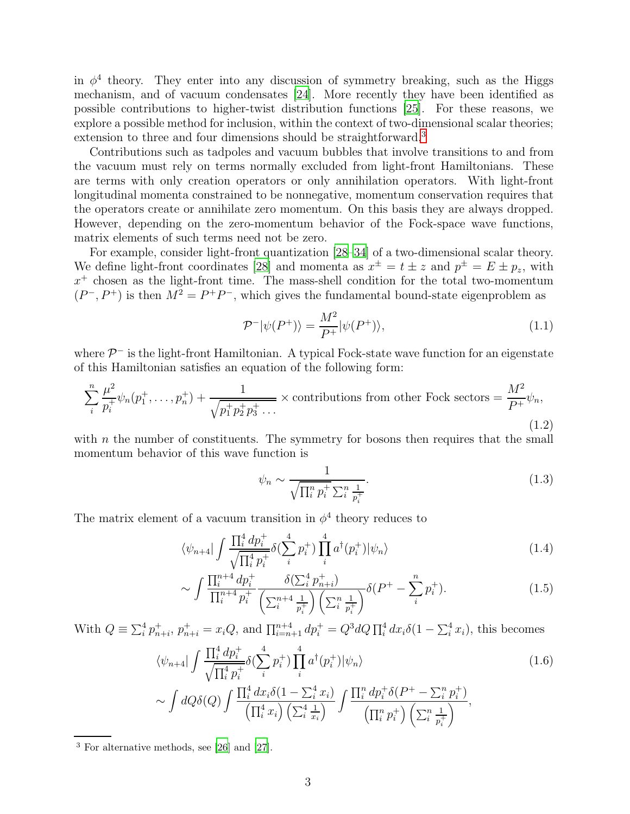in  $\phi^4$  theory. They enter into any discussion of symmetry breaking, such as the Higgs mechanism, and of vacuum condensates [\[24\]](#page-17-11). More recently they have been identified as possible contributions to higher-twist distribution functions [\[25\]](#page-17-12). For these reasons, we explore a possible method for inclusion, within the context of two-dimensional scalar theories; extension to three and four dimensions should be straightforward.<sup>[3](#page-2-0)</sup>

Contributions such as tadpoles and vacuum bubbles that involve transitions to and from the vacuum must rely on terms normally excluded from light-front Hamiltonians. These are terms with only creation operators or only annihilation operators. With light-front longitudinal momenta constrained to be nonnegative, momentum conservation requires that the operators create or annihilate zero momentum. On this basis they are always dropped. However, depending on the zero-momentum behavior of the Fock-space wave functions, matrix elements of such terms need not be zero.

For example, consider light-front quantization [\[28](#page-18-0)[–34\]](#page-18-1) of a two-dimensional scalar theory. We define light-front coordinates [\[28\]](#page-18-0) and momenta as  $x^{\pm} = t \pm z$  and  $p^{\pm} = E \pm p_z$ , with  $x^{+}$  chosen as the light-front time. The mass-shell condition for the total two-momentum  $(P^-, P^+)$  is then  $M^2 = P^+P^-$ , which gives the fundamental bound-state eigenproblem as

$$
\mathcal{P}^-|\psi(P^+)\rangle = \frac{M^2}{P^+}|\psi(P^+)\rangle,\tag{1.1}
$$

where  $\mathcal{P}^-$  is the light-front Hamiltonian. A typical Fock-state wave function for an eigenstate of this Hamiltonian satisfies an equation of the following form:

$$
\sum_{i}^{n} \frac{\mu^{2}}{p_{i}^{+}} \psi_{n}(p_{1}^{+}, \dots, p_{n}^{+}) + \frac{1}{\sqrt{p_{1}^{+} p_{2}^{+} p_{3}^{+} \dots}} \times \text{contributions from other Fock sectors} = \frac{M^{2}}{P^{+}} \psi_{n},\tag{1.2}
$$

with  $n$  the number of constituents. The symmetry for bosons then requires that the small momentum behavior of this wave function is

<span id="page-2-1"></span>
$$
\psi_n \sim \frac{1}{\sqrt{\prod_i^n p_i^+} \sum_i^n \frac{1}{p_i^+}}.
$$
\n(1.3)

The matrix element of a vacuum transition in  $\phi^4$  theory reduces to

$$
\langle \psi_{n+4} | \int \frac{\prod_{i}^{4} dp_{i}^{+}}{\sqrt{\prod_{i}^{4} p_{i}^{+}}} \delta(\sum_{i}^{4} p_{i}^{+}) \prod_{i}^{4} a^{\dagger}(p_{i}^{+}) | \psi_{n} \rangle \tag{1.4}
$$

$$
\sim \int \frac{\prod_{i}^{n+4} dp_i^+}{\prod_{i}^{n+4} p_i^+} \frac{\delta(\sum_{i}^4 p_{n+i}^+)}{\left(\sum_{i}^{n+4} \frac{1}{p_i^+}\right) \left(\sum_{i}^{n} \frac{1}{p_i^+}\right)} \delta(P^+ - \sum_{i}^{n} p_i^+). \tag{1.5}
$$

With  $Q = \sum_{i=1}^{4} p_{n+i}^{+}$ ,  $p_{n+i}^{+} = x_i Q$ , and  $\prod_{i=n+1}^{n+4} dp_i^{+} = Q^3 d Q \prod_{i=1}^{4} dx_i \delta(1 - \sum_{i=1}^{4} x_i)$ , this becomes

$$
\langle \psi_{n+4} | \int \frac{\prod_{i}^{4} dp_{i}^{+}}{\sqrt{\prod_{i}^{4} p_{i}^{+}}} \delta(\sum_{i}^{4} p_{i}^{+}) \prod_{i}^{4} a^{\dagger}(p_{i}^{+}) | \psi_{n} \rangle \tag{1.6}
$$

$$
\sim \int dQ \delta(Q) \int \frac{\prod_i^4 dx_i \delta(1-\sum_i^4 x_i)}{\left(\prod_i^4 x_i\right) \left(\sum_i^4 \frac{1}{x_i}\right)} \int \frac{\prod_i^n dp_i^+ \delta(P^+ - \sum_i^n p_i^+)}{\left(\prod_i^n p_i^+\right) \left(\sum_i^n \frac{1}{p_i^+}\right)},
$$

<span id="page-2-0"></span><sup>3</sup> For alternative methods, see [\[26\]](#page-17-13) and [\[27\]](#page-18-2).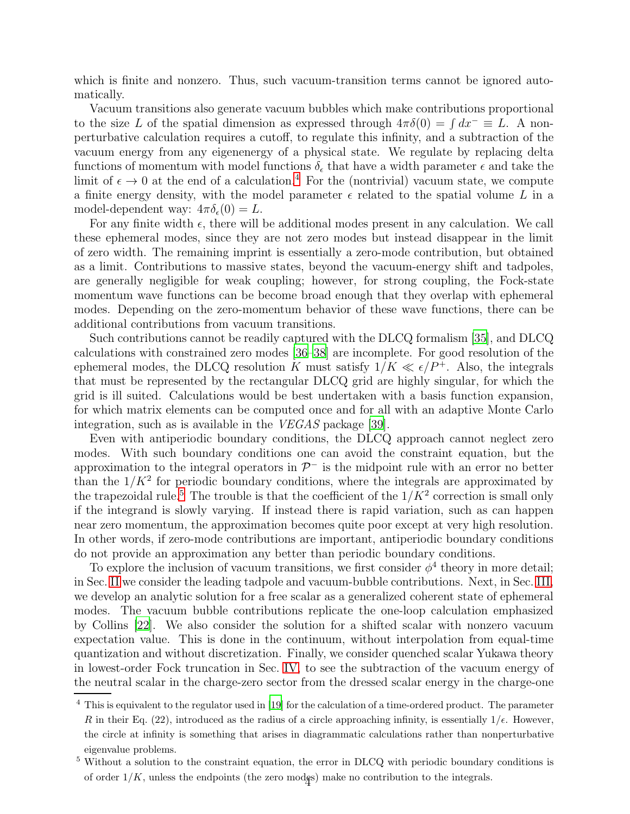which is finite and nonzero. Thus, such vacuum-transition terms cannot be ignored automatically.

Vacuum transitions also generate vacuum bubbles which make contributions proportional to the size L of the spatial dimension as expressed through  $4\pi\delta(0) = \int dx^{-} = L$ . A nonperturbative calculation requires a cutoff, to regulate this infinity, and a subtraction of the vacuum energy from any eigenenergy of a physical state. We regulate by replacing delta functions of momentum with model functions  $\delta_{\epsilon}$  that have a width parameter  $\epsilon$  and take the limit of  $\epsilon \to 0$  at the end of a calculation.<sup>[4](#page-3-0)</sup> For the (nontrivial) vacuum state, we compute a finite energy density, with the model parameter  $\epsilon$  related to the spatial volume L in a model-dependent way:  $4\pi\delta_{\epsilon}(0) = L$ .

For any finite width  $\epsilon$ , there will be additional modes present in any calculation. We call these ephemeral modes, since they are not zero modes but instead disappear in the limit of zero width. The remaining imprint is essentially a zero-mode contribution, but obtained as a limit. Contributions to massive states, beyond the vacuum-energy shift and tadpoles, are generally negligible for weak coupling; however, for strong coupling, the Fock-state momentum wave functions can be become broad enough that they overlap with ephemeral modes. Depending on the zero-momentum behavior of these wave functions, there can be additional contributions from vacuum transitions.

Such contributions cannot be readily captured with the DLCQ formalism [\[35\]](#page-18-3), and DLCQ calculations with constrained zero modes [\[36](#page-18-4)[–38\]](#page-18-5) are incomplete. For good resolution of the ephemeral modes, the DLCQ resolution K must satisfy  $1/K \ll \epsilon/P^+$ . Also, the integrals that must be represented by the rectangular DLCQ grid are highly singular, for which the grid is ill suited. Calculations would be best undertaken with a basis function expansion, for which matrix elements can be computed once and for all with an adaptive Monte Carlo integration, such as is available in the VEGAS package [\[39\]](#page-18-6).

Even with antiperiodic boundary conditions, the DLCQ approach cannot neglect zero modes. With such boundary conditions one can avoid the constraint equation, but the approximation to the integral operators in  $\mathcal{P}^-$  is the midpoint rule with an error no better than the  $1/K^2$  for periodic boundary conditions, where the integrals are approximated by the trapezoidal rule.<sup>[5](#page-3-1)</sup> The trouble is that the coefficient of the  $1/K^2$  correction is small only if the integrand is slowly varying. If instead there is rapid variation, such as can happen near zero momentum, the approximation becomes quite poor except at very high resolution. In other words, if zero-mode contributions are important, antiperiodic boundary conditions do not provide an approximation any better than periodic boundary conditions.

To explore the inclusion of vacuum transitions, we first consider  $\phi^4$  theory in more detail; in Sec. [II](#page-4-0) we consider the leading tadpole and vacuum-bubble contributions. Next, in Sec. [III,](#page-6-0) we develop an analytic solution for a free scalar as a generalized coherent state of ephemeral modes. The vacuum bubble contributions replicate the one-loop calculation emphasized by Collins [\[22](#page-17-7)]. We also consider the solution for a shifted scalar with nonzero vacuum expectation value. This is done in the continuum, without interpolation from equal-time quantization and without discretization. Finally, we consider quenched scalar Yukawa theory in lowest-order Fock truncation in Sec. [IV,](#page-9-0) to see the subtraction of the vacuum energy of the neutral scalar in the charge-zero sector from the dressed scalar energy in the charge-one

<span id="page-3-0"></span><sup>&</sup>lt;sup>4</sup> This is equivalent to the regulator used in [\[19](#page-17-5)] for the calculation of a time-ordered product. The parameter R in their Eq. (22), introduced as the radius of a circle approaching infinity, is essentially  $1/\epsilon$ . However, the circle at infinity is something that arises in diagrammatic calculations rather than nonperturbative eigenvalue problems.

<span id="page-3-1"></span><sup>5</sup> Without a solution to the constraint equation, the error in DLCQ with periodic boundary conditions is of order  $1/K$ , unless the endpoints (the zero modes) make no contribution to the integrals.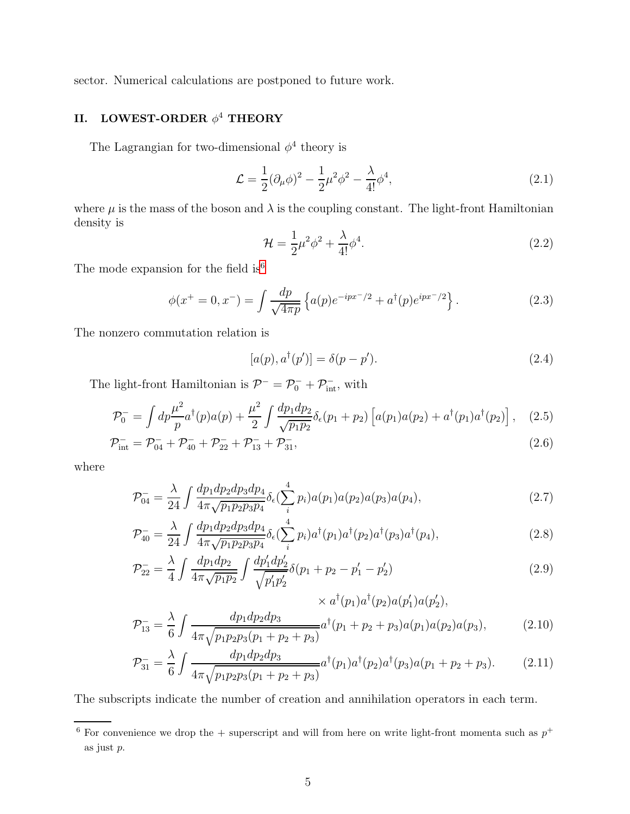sector. Numerical calculations are postponed to future work.

## <span id="page-4-0"></span>II. LOWEST-ORDER  $\phi^4$  THEORY

The Lagrangian for two-dimensional  $\phi^4$  theory is

$$
\mathcal{L} = \frac{1}{2} (\partial_{\mu} \phi)^2 - \frac{1}{2} \mu^2 \phi^2 - \frac{\lambda}{4!} \phi^4, \qquad (2.1)
$$

where  $\mu$  is the mass of the boson and  $\lambda$  is the coupling constant. The light-front Hamiltonian density is

$$
\mathcal{H} = \frac{1}{2}\mu^2\phi^2 + \frac{\lambda}{4!}\phi^4.
$$
\n(2.2)

The mode expansion for the field  $is^6$  $is^6$ 

<span id="page-4-3"></span>
$$
\phi(x^+ = 0, x^-) = \int \frac{dp}{\sqrt{4\pi p}} \left\{ a(p)e^{-ipx^-/2} + a^{\dagger}(p)e^{ipx^-/2} \right\}.
$$
 (2.3)

The nonzero commutation relation is

<span id="page-4-4"></span>
$$
[a(p), a†(p')] = \delta(p - p'). \qquad (2.4)
$$

The light-front Hamiltonian is  $\mathcal{P}^- = \mathcal{P}_0^- + \mathcal{P}_{\text{int}}^-$ , with

<span id="page-4-2"></span>
$$
\mathcal{P}_0^- = \int dp \frac{\mu^2}{p} a^\dagger(p) a(p) + \frac{\mu^2}{2} \int \frac{dp_1 dp_2}{\sqrt{p_1 p_2}} \delta_\epsilon(p_1 + p_2) \left[ a(p_1) a(p_2) + a^\dagger(p_1) a^\dagger(p_2) \right], \quad (2.5)
$$

$$
\mathcal{P}_{\text{int}}^{-} = \mathcal{P}_{04}^{-} + \mathcal{P}_{40}^{-} + \mathcal{P}_{22}^{-} + \mathcal{P}_{13}^{-} + \mathcal{P}_{31}^{-},
$$
\n(2.6)

where

$$
\mathcal{P}_{04}^{-} = \frac{\lambda}{24} \int \frac{dp_1 dp_2 dp_3 dp_4}{4\pi \sqrt{p_1 p_2 p_3 p_4}} \delta_{\epsilon} \left(\sum_{i}^{4} p_i\right) a(p_1) a(p_2) a(p_3) a(p_4),\tag{2.7}
$$

$$
\mathcal{P}_{40}^{-} = \frac{\lambda}{24} \int \frac{dp_1 dp_2 dp_3 dp_4}{4\pi \sqrt{p_1 p_2 p_3 p_4}} \delta_{\epsilon} \left(\sum_{i}^{4} p_i\right) a^{\dagger}(p_1) a^{\dagger}(p_2) a^{\dagger}(p_3) a^{\dagger}(p_4),\tag{2.8}
$$

$$
\mathcal{P}_{22}^{-} = \frac{\lambda}{4} \int \frac{dp_1 dp_2}{4\pi \sqrt{p_1 p_2}} \int \frac{dp_1' dp_2'}{\sqrt{p_1' p_2'}} \delta(p_1 + p_2 - p_1' - p_2') \tag{2.9}
$$

$$
\times a^{\dagger}(p_1)a^{\dagger}(p_2)a(p'_1)a(p'_2),
$$
  
\n
$$
\mathcal{P}_{13}^{-} = \frac{\lambda}{6} \int \frac{dp_1dp_2dp_3}{4\pi \sqrt{p_1p_2p_3(p_1+p_2+p_3)}} a^{\dagger}(p_1+p_2+p_3)a(p_1)a(p_2)a(p_3),
$$
\n(2.10)

$$
\mathcal{P}_{31}^{-} = \frac{\lambda}{6} \int \frac{dp_1 dp_2 dp_3}{4\pi \sqrt{p_1 p_2 p_3 (p_1 + p_2 + p_3)}} a^{\dagger}(p_1) a^{\dagger}(p_2) a^{\dagger}(p_3) a(p_1 + p_2 + p_3). \tag{2.11}
$$

The subscripts indicate the number of creation and annihilation operators in each term.

<span id="page-4-1"></span><sup>&</sup>lt;sup>6</sup> For convenience we drop the  $+$  superscript and will from here on write light-front momenta such as  $p^+$ as just p.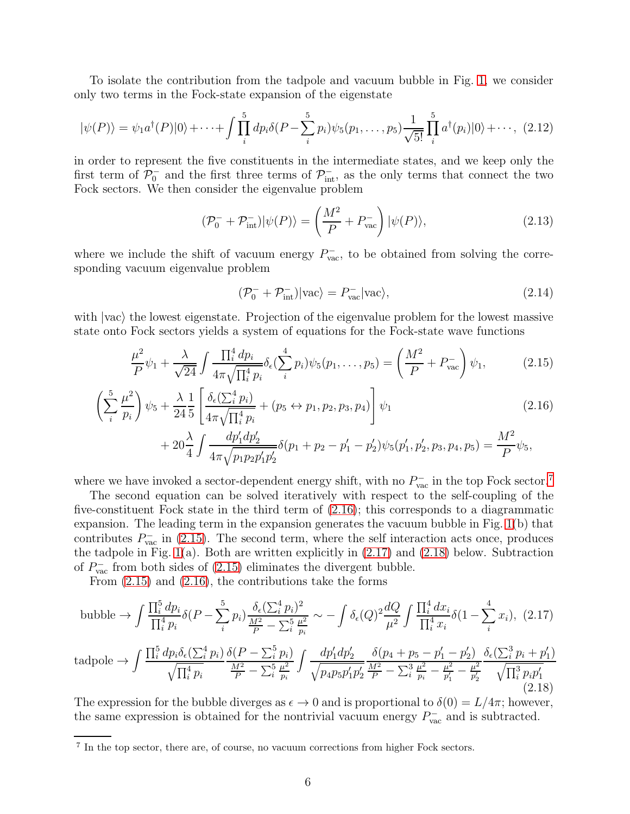To isolate the contribution from the tadpole and vacuum bubble in Fig. [1,](#page-1-0) we consider only two terms in the Fock-state expansion of the eigenstate

$$
|\psi(P)\rangle = \psi_1 a^{\dagger}(P)|0\rangle + \dots + \int \prod_{i}^{5} dp_i \delta(P - \sum_{i}^{5} p_i) \psi_5(p_1, \dots, p_5) \frac{1}{\sqrt{5!}} \prod_{i}^{5} a^{\dagger}(p_i)|0\rangle + \dots, (2.12)
$$

in order to represent the five constituents in the intermediate states, and we keep only the first term of  $\mathcal{P}^-_0$  and the first three terms of  $\mathcal{P}^-_{int}$ , as the only terms that connect the two Fock sectors. We then consider the eigenvalue problem

$$
(\mathcal{P}_0^- + \mathcal{P}_{\text{int}}^-)|\psi(P)\rangle = \left(\frac{M^2}{P} + P_{\text{vac}}^-\right)|\psi(P)\rangle,\tag{2.13}
$$

where we include the shift of vacuum energy  $P_{\text{vac}}^-$ , to be obtained from solving the corresponding vacuum eigenvalue problem

$$
(\mathcal{P}_0^- + \mathcal{P}_{\text{int}}^-)|\text{vac}\rangle = P_{\text{vac}}^-| \text{vac}\rangle, \tag{2.14}
$$

with  $\vert vac \rangle$  the lowest eigenstate. Projection of the eigenvalue problem for the lowest massive state onto Fock sectors yields a system of equations for the Fock-state wave functions

<span id="page-5-1"></span>
$$
\frac{\mu^2}{P}\psi_1 + \frac{\lambda}{\sqrt{24}} \int \frac{\prod_i^4 dp_i}{4\pi \sqrt{\prod_i^4 p_i}} \delta_{\epsilon} (\sum_i^4 p_i) \psi_5(p_1, \dots, p_5) = \left(\frac{M^2}{P} + P_{\text{vac}}^{-1}\right) \psi_1,\tag{2.15}
$$

$$
\left(\sum_{i}^{5} \frac{\mu^{2}}{p_{i}}\right) \psi_{5} + \frac{\lambda}{24} \frac{1}{5} \left[ \frac{\delta_{\epsilon}(\sum_{i}^{4} p_{i})}{4\pi \sqrt{\prod_{i}^{4} p_{i}}} + (p_{5} \leftrightarrow p_{1}, p_{2}, p_{3}, p_{4}) \right] \psi_{1}
$$
\n(2.16)

$$
+ 20\frac{\lambda}{4} \int \frac{dp'_1 dp'_2}{4\pi \sqrt{p_1 p_2 p'_1 p'_2}} \delta(p_1 + p_2 - p'_1 - p'_2) \psi_5(p'_1, p'_2, p_3, p_4, p_5) = \frac{M^2}{P} \psi_5,
$$

where we have invoked a sector-dependent energy shift, with no  $P_{\text{vac}}^-$  in the top Fock sector.<sup>[7](#page-5-0)</sup>

The second equation can be solved iteratively with respect to the self-coupling of the five-constituent Fock state in the third term of [\(2.16\)](#page-5-1); this corresponds to a diagrammatic expansion. The leading term in the expansion generates the vacuum bubble in Fig. [1\(](#page-1-0)b) that contributes  $P_{\text{vac}}^-$  in [\(2.15\)](#page-5-1). The second term, where the self interaction acts once, produces the tadpole in Fig. [1\(](#page-1-0)a). Both are written explicitly in  $(2.17)$  and  $(2.18)$  below. Subtraction of  $P_{\text{vac}}^-$  from both sides of [\(2.15\)](#page-5-1) eliminates the divergent bubble.

From [\(2.15\)](#page-5-1) and [\(2.16\)](#page-5-1), the contributions take the forms

<span id="page-5-2"></span>
$$
\text{bubble} \to \int \frac{\prod_{i}^{5} dp_{i}}{\prod_{i}^{4} p_{i}} \delta(P - \sum_{i}^{5} p_{i}) \frac{\delta_{\epsilon} (\sum_{i}^{4} p_{i})^{2}}{\frac{M^{2}}{P} - \sum_{i}^{5} \frac{\mu^{2}}{p_{i}}} \sim -\int \delta_{\epsilon}(Q)^{2} \frac{dQ}{\mu^{2}} \int \frac{\prod_{i}^{4} dx_{i}}{\prod_{i}^{4} x_{i}} \delta(1 - \sum_{i}^{4} x_{i}), \tag{2.17}
$$

<span id="page-5-3"></span>
$$
\text{tadpole} \rightarrow \int \frac{\prod_{i}^{5} dp_{i} \delta_{\epsilon} (\sum_{i}^{4} p_{i})}{\sqrt{\prod_{i}^{4} p_{i}}} \frac{\delta(P - \sum_{i}^{5} p_{i})}{\frac{M^{2}}{P} - \sum_{i}^{5} \frac{\mu^{2}}{p_{i}}} \int \frac{dp_{1}' dp_{2}'}{\sqrt{p_{4} p_{5} p_{1}' p_{2}'}} \frac{\delta(p_{4} + p_{5} - p_{1}' - p_{2}')}{\frac{M^{2}}{P} - \sum_{i}^{3} \frac{\mu^{2}}{p_{i}} - \frac{\mu^{2}}{p_{1}'} - \frac{\mu^{2}}{p_{2}'}} \frac{\delta_{\epsilon} (\sum_{i}^{3} p_{i} + p_{1}')}{\sqrt{\prod_{i}^{3} p_{i} p_{1}'}}
$$
\n(2.18)

The expression for the bubble diverges as  $\epsilon \to 0$  and is proportional to  $\delta(0) = L/4\pi$ ; however, the same expression is obtained for the nontrivial vacuum energy  $P_{\text{vac}}^-$  and is subtracted.

<span id="page-5-0"></span><sup>7</sup> In the top sector, there are, of course, no vacuum corrections from higher Fock sectors.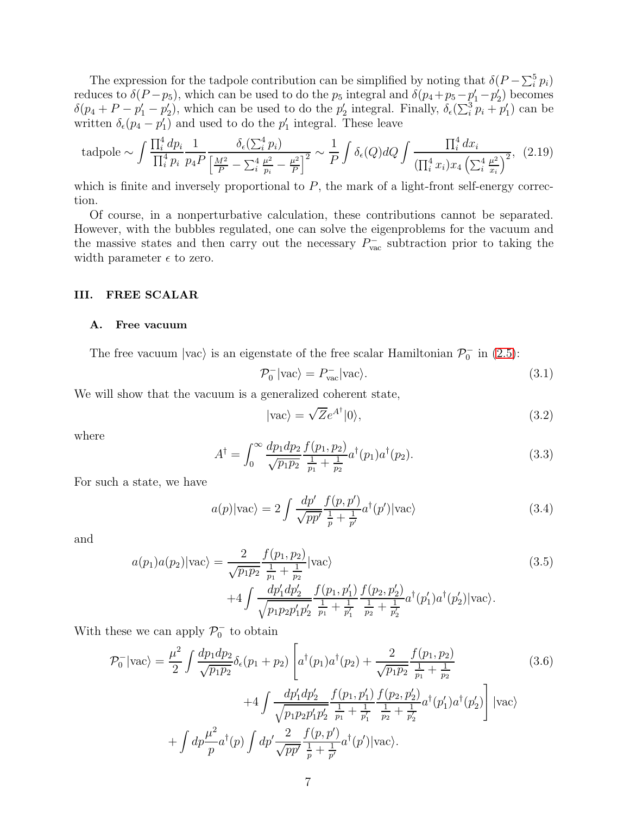The expression for the tadpole contribution can be simplified by noting that  $\delta(P - \sum_{i}^{5} p_i)$ reduces to  $\delta(P-p_5)$ , which can be used to do the  $p_5$  integral and  $\delta(p_4+p_5-p'_1-p'_2)$  becomes  $\delta(p_4 + P - p'_1 - p'_2)$ , which can be used to do the  $p'_2$  integral. Finally,  $\delta_{\epsilon}(\sum_i^3 p_i + p'_1)$  can be written  $\delta_{\epsilon}(p_4 - p'_1)$  and used to do the  $p'_1$  integral. These leave

tadpole 
$$
\sim \int \frac{\prod_i^4 dp_i}{\prod_i^4 p_i} \frac{1}{p_4 P} \frac{\delta_{\epsilon}(\sum_i^4 p_i)}{\left[\frac{M^2}{P} - \sum_i^4 \frac{\mu^2}{p_i} - \frac{\mu^2}{P}\right]^2} \sim \frac{1}{P} \int \delta_{\epsilon}(Q) dQ \int \frac{\prod_i^4 dx_i}{(\prod_i^4 x_i) x_4 \left(\sum_i^4 \frac{\mu^2}{x_i}\right)^2},
$$
 (2.19)

which is finite and inversely proportional to  $P$ , the mark of a light-front self-energy correction.

Of course, in a nonperturbative calculation, these contributions cannot be separated. However, with the bubbles regulated, one can solve the eigenproblems for the vacuum and the massive states and then carry out the necessary  $P_{\text{vac}}^-$  subtraction prior to taking the width parameter  $\epsilon$  to zero.

## <span id="page-6-0"></span>III. FREE SCALAR

#### A. Free vacuum

The free vacuum  $|vac\rangle$  is an eigenstate of the free scalar Hamiltonian  $\mathcal{P}_0^-$  in [\(2.5\)](#page-4-2):

$$
\mathcal{P}_0^-|\text{vac}\rangle = P_{\text{vac}}^-|\text{vac}\rangle. \tag{3.1}
$$

We will show that the vacuum is a generalized coherent state,

$$
|\text{vac}\rangle = \sqrt{Z}e^{A^{\dagger}}|0\rangle,\tag{3.2}
$$

where

$$
A^{\dagger} = \int_0^{\infty} \frac{dp_1 dp_2}{\sqrt{p_1 p_2}} \frac{f(p_1, p_2)}{\frac{1}{p_1} + \frac{1}{p_2}} a^{\dagger}(p_1) a^{\dagger}(p_2).
$$
 (3.3)

For such a state, we have

$$
a(p)|\text{vac}\rangle = 2 \int \frac{dp'}{\sqrt{pp'}} \frac{f(p,p')}{\frac{1}{p} + \frac{1}{p'}} a^{\dagger}(p')|\text{vac}\rangle \tag{3.4}
$$

and

$$
a(p_1)a(p_2)|\text{vac}\rangle = \frac{2}{\sqrt{p_1p_2}} \frac{f(p_1, p_2)}{\frac{1}{p_1} + \frac{1}{p_2}} |\text{vac}\rangle
$$
\n
$$
+4 \int \frac{dp'_1 dp'_2}{\sqrt{p_1p_2p'_1p'_2}} \frac{f(p_1, p'_1)}{\frac{1}{p_1} + \frac{1}{p'_1}} \frac{f(p_2, p'_2)}{\frac{1}{p_2} + \frac{1}{p'_2}} a^{\dagger}(p'_1)a^{\dagger}(p'_2)|\text{vac}\rangle.
$$
\n(3.5)

With these we can apply  $\mathcal{P}_0^-$  to obtain

$$
\mathcal{P}_0^-|\text{vac}\rangle = \frac{\mu^2}{2} \int \frac{dp_1 dp_2}{\sqrt{p_1 p_2}} \delta_{\epsilon}(p_1 + p_2) \left[ a^{\dagger}(p_1) a^{\dagger}(p_2) + \frac{2}{\sqrt{p_1 p_2}} \frac{f(p_1, p_2)}{\frac{1}{p_1} + \frac{1}{p_2}} + 4 \int \frac{dp'_1 dp'_2}{\sqrt{p_1 p_2 p'_1 p'_2}} \frac{f(p_1, p'_1)}{\frac{1}{p_1} + \frac{1}{p'_1}} \frac{f(p_2, p'_2)}{\frac{1}{p_2} + \frac{1}{p'_2}} a^{\dagger}(p'_1) a^{\dagger}(p'_2) \right] |\text{vac}\rangle + \int dp \frac{\mu^2}{p} a^{\dagger}(p) \int dp' \frac{2}{\sqrt{pp'}} \frac{f(p, p')}{\frac{1}{p} + \frac{1}{p'}} a^{\dagger}(p') |\text{vac}\rangle.
$$
\n(3.6)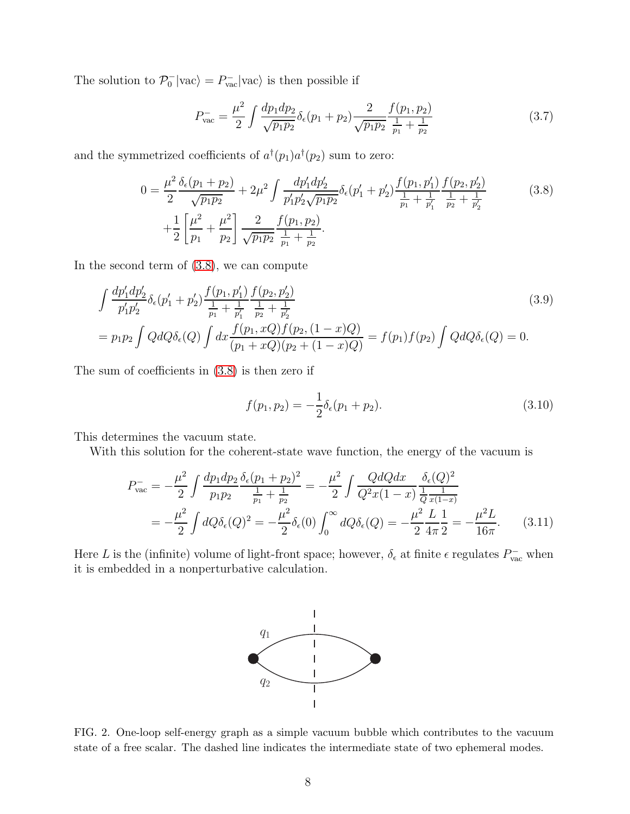The solution to  $\mathcal{P}_0^-|\text{vac}\rangle = P_{\text{vac}}^-|\text{vac}\rangle$  is then possible if

$$
P_{\text{vac}}^{-} = \frac{\mu^2}{2} \int \frac{dp_1 dp_2}{\sqrt{p_1 p_2}} \delta_{\epsilon}(p_1 + p_2) \frac{2}{\sqrt{p_1 p_2}} \frac{f(p_1, p_2)}{\frac{1}{p_1} + \frac{1}{p_2}}
$$
(3.7)

and the symmetrized coefficients of  $a^{\dagger}(p_1)a^{\dagger}(p_2)$  sum to zero:

<span id="page-7-0"></span>
$$
0 = \frac{\mu^2}{2} \frac{\delta_{\epsilon}(p_1 + p_2)}{\sqrt{p_1 p_2}} + 2\mu^2 \int \frac{dp'_1 dp'_2}{p'_1 p'_2 \sqrt{p_1 p_2}} \delta_{\epsilon}(p'_1 + p'_2) \frac{f(p_1, p'_1)}{\frac{1}{p_1} + \frac{1}{p'_1}} \frac{f(p_2, p'_2)}{\frac{1}{p_2} + \frac{1}{p'_2}} + \frac{1}{2} \left[ \frac{\mu^2}{p_1} + \frac{\mu^2}{p_2} \right] \frac{2}{\sqrt{p_1 p_2}} \frac{f(p_1, p_2)}{\frac{1}{p_1} + \frac{1}{p_2}}.
$$
 (3.8)

In the second term of [\(3.8\)](#page-7-0), we can compute

$$
\int \frac{dp'_1 dp'_2}{p'_1 p'_2} \delta_{\epsilon}(p'_1 + p'_2) \frac{f(p_1, p'_1)}{\frac{1}{p_1} + \frac{1}{p'_1}} \frac{f(p_2, p'_2)}{\frac{1}{p_2} + \frac{1}{p'_2}}
$$
\n
$$
= p_1 p_2 \int Q dQ \delta_{\epsilon}(Q) \int dx \frac{f(p_1, xQ) f(p_2, (1-x)Q)}{(p_1 + xQ)(p_2 + (1-x)Q)} = f(p_1) f(p_2) \int Q dQ \delta_{\epsilon}(Q) = 0.
$$
\n(3.9)

The sum of coefficients in [\(3.8\)](#page-7-0) is then zero if

$$
f(p_1, p_2) = -\frac{1}{2}\delta_{\epsilon}(p_1 + p_2). \tag{3.10}
$$

This determines the vacuum state.

With this solution for the coherent-state wave function, the energy of the vacuum is

<span id="page-7-2"></span>
$$
P_{\text{vac}}^{-} = -\frac{\mu^{2}}{2} \int \frac{dp_{1}dp_{2}}{p_{1}p_{2}} \frac{\delta_{\epsilon}(p_{1} + p_{2})^{2}}{\frac{1}{p_{1}} + \frac{1}{p_{2}}} = -\frac{\mu^{2}}{2} \int \frac{QdQdx}{Q^{2}x(1 - x)} \frac{\delta_{\epsilon}(Q)^{2}}{\frac{1}{Q} \frac{1}{x(1 - x)}}
$$
  
= 
$$
-\frac{\mu^{2}}{2} \int dQ \delta_{\epsilon}(Q)^{2} = -\frac{\mu^{2}}{2} \delta_{\epsilon}(0) \int_{0}^{\infty} dQ \delta_{\epsilon}(Q) = -\frac{\mu^{2}}{2} \frac{L}{4\pi} \frac{1}{2} = -\frac{\mu^{2}L}{16\pi}.
$$
 (3.11)

Here L is the (infinite) volume of light-front space; however,  $\delta_{\epsilon}$  at finite  $\epsilon$  regulates  $P_{\text{vac}}^-$  when it is embedded in a nonperturbative calculation.



<span id="page-7-1"></span>FIG. 2. One-loop self-energy graph as a simple vacuum bubble which contributes to the vacuum state of a free scalar. The dashed line indicates the intermediate state of two ephemeral modes.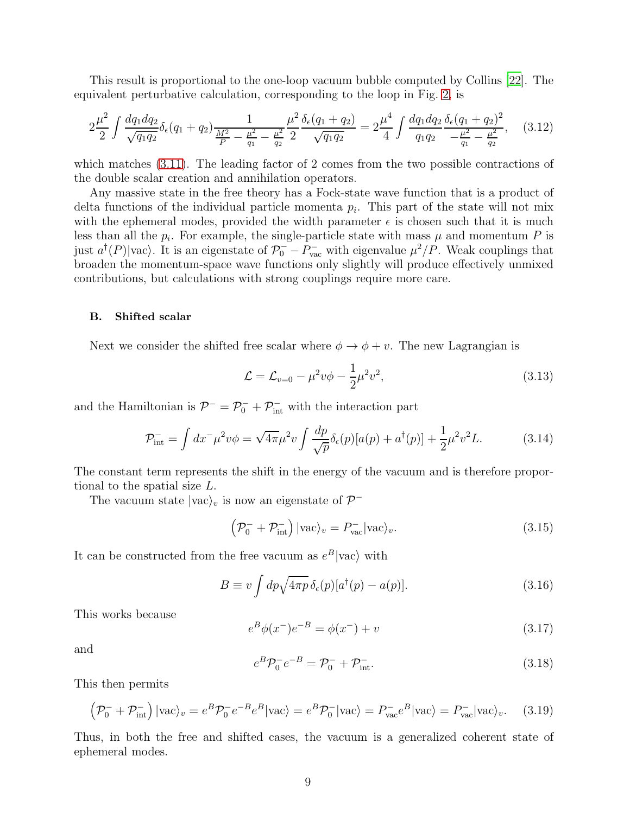This result is proportional to the one-loop vacuum bubble computed by Collins [\[22\]](#page-17-7). The equivalent perturbative calculation, corresponding to the loop in Fig. [2,](#page-7-1) is

$$
2\frac{\mu^2}{2} \int \frac{dq_1 dq_2}{\sqrt{q_1 q_2}} \delta_{\epsilon}(q_1 + q_2) \frac{1}{\frac{M^2}{P} - \frac{\mu^2}{q_1} - \frac{\mu^2}{q_2}} \frac{\delta_{\epsilon}(q_1 + q_2)}{2} = 2\frac{\mu^4}{4} \int \frac{dq_1 dq_2}{q_1 q_2} \frac{\delta_{\epsilon}(q_1 + q_2)^2}{-\frac{\mu^2}{q_1} - \frac{\mu^2}{q_2}},\tag{3.12}
$$

which matches [\(3.11\)](#page-7-2). The leading factor of 2 comes from the two possible contractions of the double scalar creation and annihilation operators.

Any massive state in the free theory has a Fock-state wave function that is a product of delta functions of the individual particle momenta  $p_i$ . This part of the state will not mix with the ephemeral modes, provided the width parameter  $\epsilon$  is chosen such that it is much less than all the  $p_i$ . For example, the single-particle state with mass  $\mu$  and momentum P is just  $a^{\dagger}(P)|\text{vac}\rangle$ . It is an eigenstate of  $\mathcal{P}_0^- - \mathcal{P}_{\text{vac}}^-$  with eigenvalue  $\mu^2/P$ . Weak couplings that broaden the momentum-space wave functions only slightly will produce effectively unmixed contributions, but calculations with strong couplings require more care.

#### B. Shifted scalar

Next we consider the shifted free scalar where  $\phi \rightarrow \phi + v$ . The new Lagrangian is

$$
\mathcal{L} = \mathcal{L}_{v=0} - \mu^2 v \phi - \frac{1}{2} \mu^2 v^2, \tag{3.13}
$$

and the Hamiltonian is  $\mathcal{P}^- = \mathcal{P}_0^- + \mathcal{P}_{\text{int}}^-$  with the interaction part

$$
\mathcal{P}_{\text{int}}^{-} = \int dx^{-} \mu^{2} v \phi = \sqrt{4\pi} \mu^{2} v \int \frac{dp}{\sqrt{p}} \delta_{\epsilon}(p) [a(p) + a^{\dagger}(p)] + \frac{1}{2} \mu^{2} v^{2} L. \tag{3.14}
$$

The constant term represents the shift in the energy of the vacuum and is therefore proportional to the spatial size L.

The vacuum state  $|{\rm vac}\rangle_v$  is now an eigenstate of  $\mathcal{P}^-$ 

$$
\left(\mathcal{P}_0^- + \mathcal{P}_{\text{int}}^-\right)|\text{vac}\rangle_v = P_{\text{vac}}^-|\text{vac}\rangle_v. \tag{3.15}
$$

It can be constructed from the free vacuum as  $e^B$ |vac $\rangle$  with

$$
B \equiv v \int dp \sqrt{4\pi p} \,\delta_{\epsilon}(p) [a^{\dagger}(p) - a(p)]. \tag{3.16}
$$

This works because

$$
e^{B}\phi(x^{-})e^{-B} = \phi(x^{-}) + v \tag{3.17}
$$

and

$$
e^{B}\mathcal{P}_{0}^{-}e^{-B} = \mathcal{P}_{0}^{-} + \mathcal{P}_{\text{int}}^{-}.
$$
\n(3.18)

This then permits

$$
\left(\mathcal{P}_0^- + \mathcal{P}_{\text{int}}^-\right)|\text{vac}\rangle_v = e^B \mathcal{P}_0^- e^{-B} e^B |\text{vac}\rangle = e^B \mathcal{P}_0^- |\text{vac}\rangle = P_{\text{vac}}^- e^B |\text{vac}\rangle = P_{\text{vac}}^- |\text{vac}\rangle_v. \tag{3.19}
$$

Thus, in both the free and shifted cases, the vacuum is a generalized coherent state of ephemeral modes.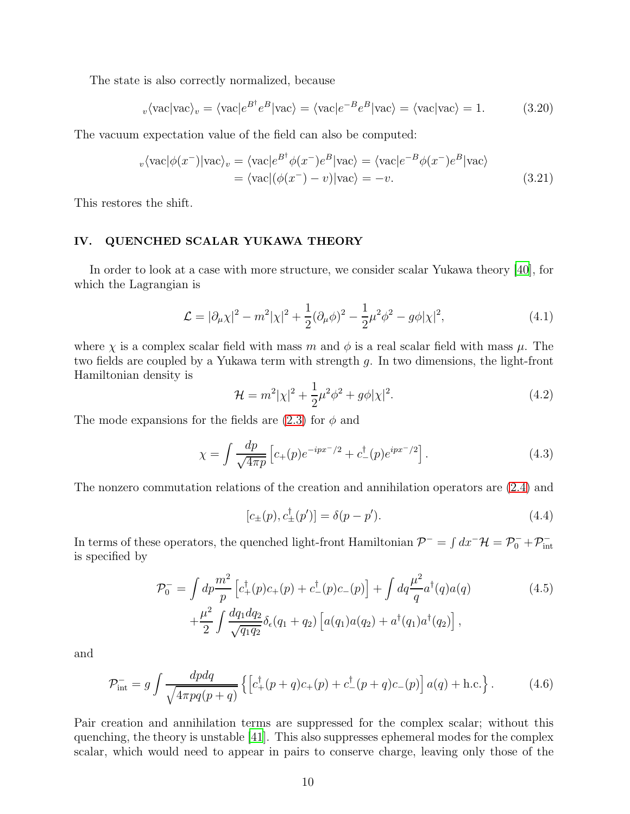The state is also correctly normalized, because

$$
v \langle \text{vac} | \text{vac} \rangle_v = \langle \text{vac} | e^{B^\dagger} e^B | \text{vac} \rangle = \langle \text{vac} | e^{-B} e^B | \text{vac} \rangle = \langle \text{vac} | \text{vac} \rangle = 1. \tag{3.20}
$$

The vacuum expectation value of the field can also be computed:

$$
v \langle \text{vac} | \phi(x^{-}) | \text{vac} \rangle_{v} = \langle \text{vac} | e^{B^{\dagger}} \phi(x^{-}) e^{B} | \text{vac} \rangle = \langle \text{vac} | e^{-B} \phi(x^{-}) e^{B} | \text{vac} \rangle
$$
  
=  $\langle \text{vac} | (\phi(x^{-}) - v) | \text{vac} \rangle = -v.$  (3.21)

This restores the shift.

## <span id="page-9-0"></span>IV. QUENCHED SCALAR YUKAWA THEORY

In order to look at a case with more structure, we consider scalar Yukawa theory [\[40](#page-18-7)], for which the Lagrangian is

$$
\mathcal{L} = |\partial_{\mu} \chi|^{2} - m^{2} |\chi|^{2} + \frac{1}{2} (\partial_{\mu} \phi)^{2} - \frac{1}{2} \mu^{2} \phi^{2} - g \phi |\chi|^{2}, \qquad (4.1)
$$

where  $\chi$  is a complex scalar field with mass m and  $\phi$  is a real scalar field with mass  $\mu$ . The two fields are coupled by a Yukawa term with strength g. In two dimensions, the light-front Hamiltonian density is

$$
\mathcal{H} = m^2 |\chi|^2 + \frac{1}{2} \mu^2 \phi^2 + g\phi |\chi|^2.
$$
 (4.2)

The mode expansions for the fields are  $(2.3)$  for  $\phi$  and

$$
\chi = \int \frac{dp}{\sqrt{4\pi p}} \left[ c_+(p) e^{-ipx^-/2} + c_-^{\dagger}(p) e^{ipx^-/2} \right]. \tag{4.3}
$$

The nonzero commutation relations of the creation and annihilation operators are [\(2.4\)](#page-4-4) and

$$
[c_{\pm}(p), c_{\pm}^{\dagger}(p')] = \delta(p - p'). \tag{4.4}
$$

In terms of these operators, the quenched light-front Hamiltonian  $\mathcal{P}^- = \int dx^- \mathcal{H} = \mathcal{P}_0^- + \mathcal{P}_{\text{int}}^$ is specified by

$$
\mathcal{P}_0^- = \int dp \frac{m^2}{p} \left[ c_+^\dagger(p)c_+(p) + c_-^\dagger(p)c_-(p) \right] + \int dq \frac{\mu^2}{q} a^\dagger(q)a(q) \n+ \frac{\mu^2}{2} \int \frac{dq_1 dq_2}{\sqrt{q_1 q_2}} \delta_\epsilon(q_1 + q_2) \left[ a(q_1)a(q_2) + a^\dagger(q_1)a^\dagger(q_2) \right],
$$
\n(4.5)

and

$$
\mathcal{P}_{\text{int}}^{-} = g \int \frac{dpdq}{\sqrt{4\pi pq(p+q)}} \left\{ \left[ c_{+}^{\dagger}(p+q)c_{+}(p) + c_{-}^{\dagger}(p+q)c_{-}(p) \right] a(q) + \text{h.c.} \right\}. \tag{4.6}
$$

Pair creation and annihilation terms are suppressed for the complex scalar; without this quenching, the theory is unstable [\[41\]](#page-18-8). This also suppresses ephemeral modes for the complex scalar, which would need to appear in pairs to conserve charge, leaving only those of the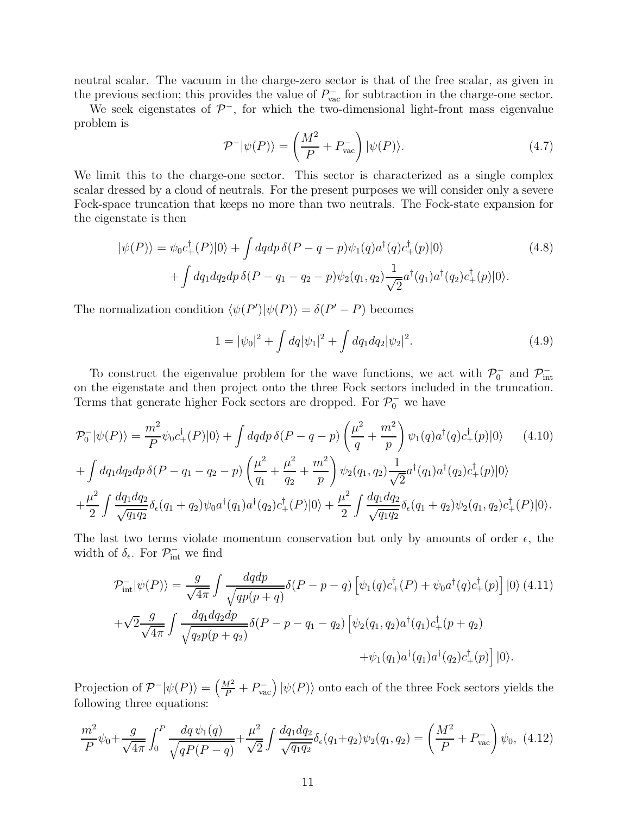neutral scalar. The vacuum in the charge-zero sector is that of the free scalar, as given in the previous section; this provides the value of  $P_{\text{vac}}^-$  for subtraction in the charge-one sector.

We seek eigenstates of  $\mathcal{P}^-$ , for which the two-dimensional light-front mass eigenvalue problem is

$$
\mathcal{P}^-|\psi(P)\rangle = \left(\frac{M^2}{P} + P_{\text{vac}}^-\right)|\psi(P)\rangle.
$$
 (4.7)

We limit this to the charge-one sector. This sector is characterized as a single complex scalar dressed by a cloud of neutrals. For the present purposes we will consider only a severe Fock-space truncation that keeps no more than two neutrals. The Fock-state expansion for the eigenstate is then

$$
|\psi(P)\rangle = \psi_0 c_+^{\dagger}(P)|0\rangle + \int dqdp \,\delta(P - q - p)\psi_1(q)a^{\dagger}(q)c_+^{\dagger}(p)|0\rangle
$$
(4.8)  
+ 
$$
\int dq_1 dq_2 dp \,\delta(P - q_1 - q_2 - p)\psi_2(q_1, q_2) \frac{1}{\sqrt{2}} a^{\dagger}(q_1)a^{\dagger}(q_2)c_+^{\dagger}(p)|0\rangle.
$$

The normalization condition  $\langle \psi(P') | \psi(P) \rangle = \delta(P' - P)$  becomes

<span id="page-10-0"></span>
$$
1 = |\psi_0|^2 + \int dq |\psi_1|^2 + \int dq_1 dq_2 |\psi_2|^2.
$$
 (4.9)

To construct the eigenvalue problem for the wave functions, we act with  $\mathcal{P}_0^-$  and  $\mathcal{P}_{\text{int}}^$ on the eigenstate and then project onto the three Fock sectors included in the truncation. Terms that generate higher Fock sectors are dropped. For  $\mathcal{P}_0^-$  we have

$$
\mathcal{P}_0^- |\psi(P)\rangle = \frac{m^2}{P} \psi_0 c_+^{\dagger}(P) |0\rangle + \int dq dp \,\delta(P - q - p) \left(\frac{\mu^2}{q} + \frac{m^2}{p}\right) \psi_1(q) a^{\dagger}(q) c_+^{\dagger}(p) |0\rangle \tag{4.10}
$$
  
+ 
$$
\int dq_1 dq_2 dp \,\delta(P - q_1 - q_2 - p) \left(\frac{\mu^2}{q_1} + \frac{\mu^2}{q_2} + \frac{m^2}{p}\right) \psi_2(q_1, q_2) \frac{1}{\sqrt{2}} a^{\dagger}(q_1) a^{\dagger}(q_2) c_+^{\dagger}(p) |0\rangle
$$
  
+ 
$$
\frac{\mu^2}{2} \int \frac{dq_1 dq_2}{\sqrt{q_1 q_2}} \delta_{\epsilon}(q_1 + q_2) \psi_0 a^{\dagger}(q_1) a^{\dagger}(q_2) c_+^{\dagger}(P) |0\rangle + \frac{\mu^2}{2} \int \frac{dq_1 dq_2}{\sqrt{q_1 q_2}} \delta_{\epsilon}(q_1 + q_2) \psi_2(q_1, q_2) c_+^{\dagger}(P) |0\rangle.
$$

The last two terms violate momentum conservation but only by amounts of order  $\epsilon$ , the width of  $\delta_{\epsilon}$ . For  $\mathcal{P}_{\text{int}}^{-}$  we find

$$
\mathcal{P}_{int}^{-}|\psi(P)\rangle = \frac{g}{\sqrt{4\pi}} \int \frac{dqdp}{\sqrt{qp(p+q)}} \delta(P-p-q) \left[\psi_1(q)c_+^{\dagger}(P) + \psi_0 a^{\dagger}(q)c_+^{\dagger}(p)\right]|0\rangle \tag{4.11}
$$

$$
+\sqrt{2}\frac{g}{\sqrt{4\pi}} \int \frac{dq_1dq_2dp}{\sqrt{q_2p(p+q_2)}} \delta(P-p-q_1-q_2) \left[\psi_2(q_1,q_2)a^{\dagger}(q_1)c_+^{\dagger}(p+q_2) + \psi_1(q_1)a^{\dagger}(q_1)a^{\dagger}(q_2)c_+^{\dagger}(p)\right]|0\rangle.
$$

Projection of  $\mathcal{P}^-|\psi(P)\rangle = \left(\frac{M^2}{P} + P_{\text{vac}}^-\right)|\psi(P)\rangle$  onto each of the three Fock sectors yields the following three equations:

<span id="page-10-1"></span>
$$
\frac{m^2}{P}\psi_0 + \frac{g}{\sqrt{4\pi}} \int_0^P \frac{dq \,\psi_1(q)}{\sqrt{qP(P-q)}} + \frac{\mu^2}{\sqrt{2}} \int \frac{dq_1 dq_2}{\sqrt{q_1 q_2}} \delta_\epsilon(q_1 + q_2) \psi_2(q_1, q_2) = \left(\frac{M^2}{P} + P_{\text{vac}}^{-1}\right)\psi_0, \tag{4.12}
$$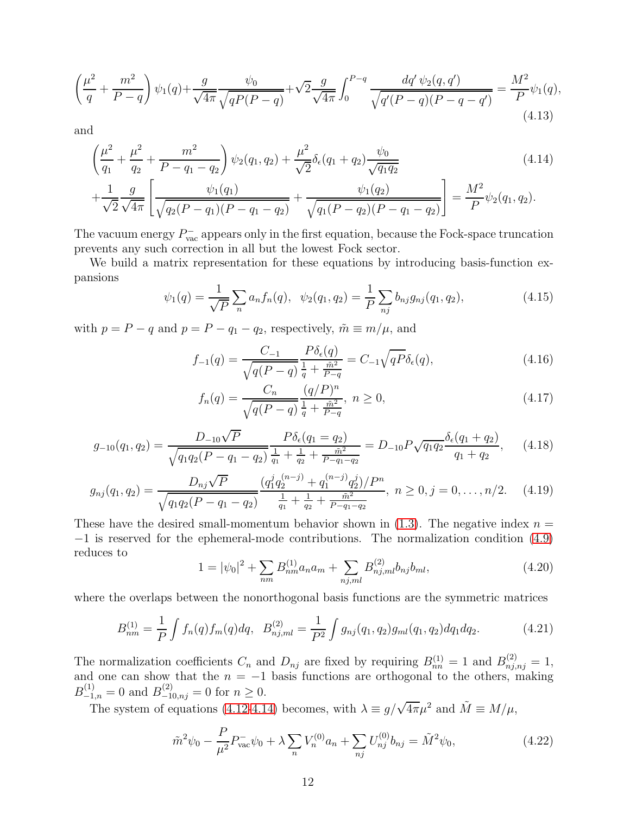$$
\left(\frac{\mu^2}{q} + \frac{m^2}{P-q}\right)\psi_1(q) + \frac{g}{\sqrt{4\pi}}\frac{\psi_0}{\sqrt{qP(P-q)}} + \sqrt{2}\frac{g}{\sqrt{4\pi}}\int_0^{P-q} \frac{dq'\,\psi_2(q,q')}{\sqrt{q'(P-q)(P-q-q')}} = \frac{M^2}{P}\psi_1(q),\tag{4.13}
$$

and

<span id="page-11-0"></span>
$$
\left(\frac{\mu^2}{q_1} + \frac{\mu^2}{q_2} + \frac{m^2}{P - q_1 - q_2}\right)\psi_2(q_1, q_2) + \frac{\mu^2}{\sqrt{2}}\delta_{\epsilon}(q_1 + q_2)\frac{\psi_0}{\sqrt{q_1 q_2}} + \frac{1}{\sqrt{2}}\frac{g}{\sqrt{4\pi}}\left[\frac{\psi_1(q_1)}{\sqrt{q_2(P - q_1)(P - q_1 - q_2)}} + \frac{\psi_1(q_2)}{\sqrt{q_1(P - q_2)(P - q_1 - q_2)}}\right] = \frac{M^2}{P}\psi_2(q_1, q_2).
$$
\n(4.14)

The vacuum energy  $P_{\text{vac}}^-$  appears only in the first equation, because the Fock-space truncation prevents any such correction in all but the lowest Fock sector.

We build a matrix representation for these equations by introducing basis-function expansions

$$
\psi_1(q) = \frac{1}{\sqrt{P}} \sum_n a_n f_n(q), \quad \psi_2(q_1, q_2) = \frac{1}{P} \sum_{n_j} b_{n_j} g_{n_j}(q_1, q_2), \tag{4.15}
$$

with  $p = P - q$  and  $p = P - q_1 - q_2$ , respectively,  $\tilde{m} \equiv m/\mu$ , and

$$
f_{-1}(q) = \frac{C_{-1}}{\sqrt{q(P-q)}} \frac{P\delta_{\epsilon}(q)}{\frac{1}{q} + \frac{\tilde{m}^2}{P-q}} = C_{-1}\sqrt{qP}\delta_{\epsilon}(q),
$$
\n(4.16)

$$
f_n(q) = \frac{C_n}{\sqrt{q(P-q)}} \frac{(q/P)^n}{\frac{1}{q} + \frac{\tilde{m}^2}{P-q}}, \ n \ge 0,
$$
\n(4.17)

$$
g_{-10}(q_1, q_2) = \frac{D_{-10}\sqrt{P}}{\sqrt{q_1q_2(P - q_1 - q_2)}\frac{1}{q_1} + \frac{1}{q_2} + \frac{\tilde{m}^2}{P - q_1 - q_2}}} = D_{-10}P\sqrt{q_1q_2}\frac{\delta_{\epsilon}(q_1 + q_2)}{q_1 + q_2}, \quad (4.18)
$$

$$
g_{nj}(q_1, q_2) = \frac{D_{nj}\sqrt{P}}{\sqrt{q_1q_2(P - q_1 - q_2)}} \frac{(q_1^j q_2^{(n-j)} + q_1^{(n-j)} q_2^j)/P^n}{\frac{1}{q_1} + \frac{1}{q_2} + \frac{n^2}{P - q_1 - q_2}}, \quad n \ge 0, j = 0, \dots, n/2.
$$
 (4.19)

These have the desired small-momentum behavior shown in  $(1.3)$ . The negative index  $n =$ −1 is reserved for the ephemeral-mode contributions. The normalization condition [\(4.9\)](#page-10-0) reduces to

$$
1 = |\psi_0|^2 + \sum_{nm} B_{nm}^{(1)} a_n a_m + \sum_{nj,ml} B_{nj,ml}^{(2)} b_{nj} b_{ml}, \qquad (4.20)
$$

where the overlaps between the nonorthogonal basis functions are the symmetric matrices

<span id="page-11-1"></span>
$$
B_{nm}^{(1)} = \frac{1}{P} \int f_n(q) f_m(q) dq, \quad B_{nj,ml}^{(2)} = \frac{1}{P^2} \int g_{nj}(q_1, q_2) g_{ml}(q_1, q_2) dq_1 dq_2. \tag{4.21}
$$

The normalization coefficients  $C_n$  and  $D_{nj}$  are fixed by requiring  $B_{nn}^{(1)} = 1$  and  $B_{nj,nj}^{(2)} = 1$ , and one can show that the  $n = -1$  basis functions are orthogonal to the others, making  $B_{-1,n}^{(1)} = 0$  and  $B_{-10,nj}^{(2)} = 0$  for  $n \ge 0$ .

The system of equations [\(4.12-](#page-10-1)[4.14\)](#page-11-0) becomes, with  $\lambda \equiv g/\sqrt{4\pi}\mu^2$  and  $\tilde{M} \equiv M/\mu$ ,

$$
\tilde{m}^2 \psi_0 - \frac{P}{\mu^2} P_{\text{vac}}^- \psi_0 + \lambda \sum_n V_n^{(0)} a_n + \sum_{nj} U_{nj}^{(0)} b_{nj} = \tilde{M}^2 \psi_0,\tag{4.22}
$$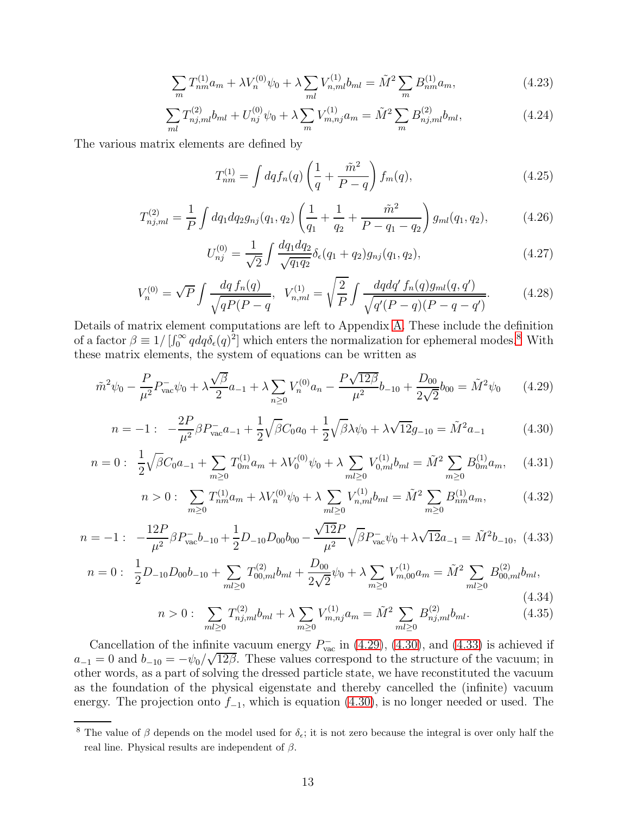$$
\sum_{m} T_{nm}^{(1)} a_m + \lambda V_n^{(0)} \psi_0 + \lambda \sum_{ml} V_{n,ml}^{(1)} b_{ml} = \tilde{M}^2 \sum_{m} B_{nm}^{(1)} a_m, \tag{4.23}
$$

$$
\sum_{ml} T_{nj,ml}^{(2)} b_{ml} + U_{nj}^{(0)} \psi_0 + \lambda \sum_m V_{m,nj}^{(1)} a_m = \tilde{M}^2 \sum_m B_{nj,ml}^{(2)} b_{ml}, \qquad (4.24)
$$

The various matrix elements are defined by

$$
T_{nm}^{(1)} = \int dq f_n(q) \left(\frac{1}{q} + \frac{\tilde{m}^2}{P - q}\right) f_m(q), \tag{4.25}
$$

$$
T_{nj,ml}^{(2)} = \frac{1}{P} \int dq_1 dq_2 g_{nj}(q_1, q_2) \left( \frac{1}{q_1} + \frac{1}{q_2} + \frac{\tilde{m}^2}{P - q_1 - q_2} \right) g_{ml}(q_1, q_2), \tag{4.26}
$$

$$
U_{nj}^{(0)} = \frac{1}{\sqrt{2}} \int \frac{dq_1 dq_2}{\sqrt{q_1 q_2}} \delta_{\epsilon}(q_1 + q_2) g_{nj}(q_1, q_2), \qquad (4.27)
$$

<span id="page-12-5"></span>
$$
V_n^{(0)} = \sqrt{P} \int \frac{dq \, f_n(q)}{\sqrt{qP(P-q)}}, \quad V_{n,ml}^{(1)} = \sqrt{\frac{2}{P}} \int \frac{dqdq' \, f_n(q)g_{ml}(q,q')}{\sqrt{q'(P-q)(P-q-q')}}.
$$
(4.28)

Details of matrix element computations are left to Appendix [A.](#page-14-0) These include the definition of a factor  $\beta \equiv 1/[\int_0^\infty q dq \delta_{\epsilon}(q)^2]$  which enters the normalization for ephemeral modes.<sup>[8](#page-12-0)</sup> With these matrix elements, the system of equations can be written as

<span id="page-12-1"></span>
$$
\tilde{m}^2 \psi_0 - \frac{P}{\mu^2} P_{\text{vac}}^- \psi_0 + \lambda \frac{\sqrt{\beta}}{2} a_{-1} + \lambda \sum_{n \ge 0} V_n^{(0)} a_n - \frac{P \sqrt{12\beta}}{\mu^2} b_{-10} + \frac{D_{00}}{2\sqrt{2}} b_{00} = \tilde{M}^2 \psi_0 \qquad (4.29)
$$

<span id="page-12-2"></span>
$$
n = -1: \quad -\frac{2P}{\mu^2} \beta P_{\text{vac}}^- a_{-1} + \frac{1}{2} \sqrt{\beta} C_0 a_0 + \frac{1}{2} \sqrt{\beta} \lambda \psi_0 + \lambda \sqrt{12} g_{-10} = \tilde{M}^2 a_{-1} \tag{4.30}
$$

$$
n = 0: \frac{1}{2}\sqrt{\beta}C_0a_{-1} + \sum_{m\geq 0} T_{0m}^{(1)}a_m + \lambda V_0^{(0)}\psi_0 + \lambda \sum_{ml\geq 0} V_{0,ml}^{(1)}b_{ml} = \tilde{M}^2 \sum_{m\geq 0} B_{0m}^{(1)}a_m, \quad (4.31)
$$

$$
n > 0: \sum_{m \ge 0} T_{nm}^{(1)} a_m + \lambda V_n^{(0)} \psi_0 + \lambda \sum_{m l \ge 0} V_{n,ml}^{(1)} b_{ml} = \tilde{M}^2 \sum_{m \ge 0} B_{nm}^{(1)} a_m, \tag{4.32}
$$

<span id="page-12-3"></span>
$$
n = -1: \quad -\frac{12P}{\mu^2} \beta P_{\text{vac}}^- b_{-10} + \frac{1}{2} D_{-10} D_{00} b_{00} - \frac{\sqrt{12}P}{\mu^2} \sqrt{\beta} P_{\text{vac}}^- \psi_0 + \lambda \sqrt{12} a_{-1} = \tilde{M}^2 b_{-10}, \tag{4.33}
$$

<span id="page-12-4"></span>
$$
n = 0: \frac{1}{2}D_{-10}D_{00}b_{-10} + \sum_{ml\geq 0} T_{00,ml}^{(2)}b_{ml} + \frac{D_{00}}{2\sqrt{2}}\psi_0 + \lambda \sum_{m\geq 0} V_{m,00}^{(1)}a_m = \tilde{M}^2 \sum_{ml\geq 0} B_{00,ml}^{(2)}b_{ml},
$$
\n(4.34)

$$
n > 0: \sum_{ml \ge 0} T_{nj,ml}^{(2)} b_{ml} + \lambda \sum_{m \ge 0} V_{m,nj}^{(1)} a_m = \tilde{M}^2 \sum_{ml \ge 0} B_{nj,ml}^{(2)} b_{ml}. \tag{4.35}
$$

Cancellation of the infinite vacuum energy  $P_{\text{vac}}^-$  in [\(4.29\)](#page-12-1), [\(4.30\)](#page-12-2), and [\(4.33\)](#page-12-3) is achieved if  $a_{-1} = 0$  and  $b_{-10} = -\psi_0 / \sqrt{12\beta}$ . These values correspond to the structure of the vacuum; in other words, as a part of solving the dressed particle state, we have reconstituted the vacuum as the foundation of the physical eigenstate and thereby cancelled the (infinite) vacuum energy. The projection onto  $f_{-1}$ , which is equation [\(4.30\)](#page-12-2), is no longer needed or used. The

<span id="page-12-0"></span><sup>&</sup>lt;sup>8</sup> The value of  $\beta$  depends on the model used for  $\delta_{\epsilon}$ ; it is not zero because the integral is over only half the real line. Physical results are independent of  $\beta$ .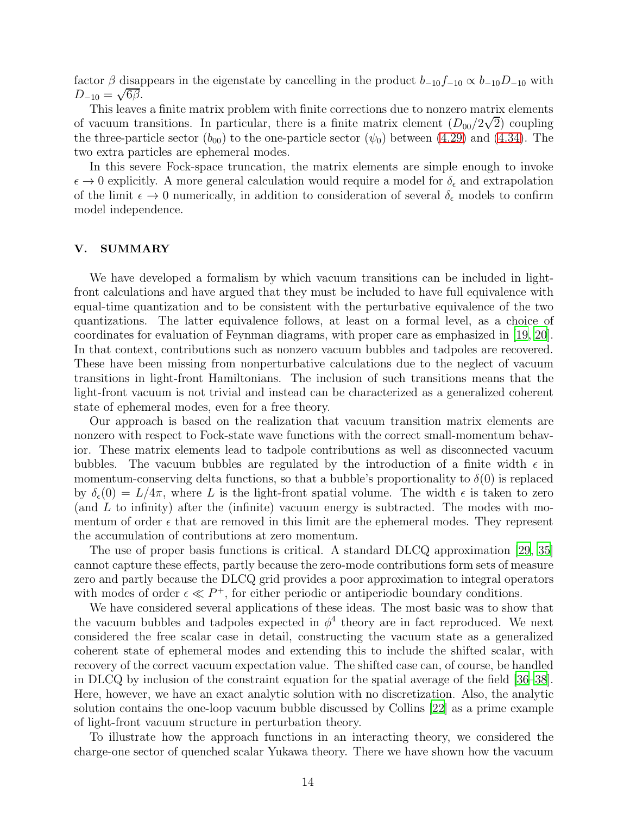factor  $\beta$  disappears in the eigenstate by cancelling in the product  $b_{-10}f_{-10} \propto b_{-10}D_{-10}$  with  $D_{-10} = \sqrt{6\beta}.$ 

This leaves a finite matrix problem with finite corrections due to nonzero matrix elements of vacuum transitions. In particular, there is a finite matrix element  $(D_{00}/2\sqrt{2})$  coupling the three-particle sector  $(b_{00})$  to the one-particle sector  $(\psi_0)$  between [\(4.29\)](#page-12-1) and [\(4.34\)](#page-12-4). The two extra particles are ephemeral modes.

In this severe Fock-space truncation, the matrix elements are simple enough to invoke  $\epsilon \to 0$  explicitly. A more general calculation would require a model for  $\delta_{\epsilon}$  and extrapolation of the limit  $\epsilon \to 0$  numerically, in addition to consideration of several  $\delta_{\epsilon}$  models to confirm model independence.

### V. SUMMARY

We have developed a formalism by which vacuum transitions can be included in lightfront calculations and have argued that they must be included to have full equivalence with equal-time quantization and to be consistent with the perturbative equivalence of the two quantizations. The latter equivalence follows, at least on a formal level, as a choice of coordinates for evaluation of Feynman diagrams, with proper care as emphasized in [\[19](#page-17-5), [20\]](#page-17-6). In that context, contributions such as nonzero vacuum bubbles and tadpoles are recovered. These have been missing from nonperturbative calculations due to the neglect of vacuum transitions in light-front Hamiltonians. The inclusion of such transitions means that the light-front vacuum is not trivial and instead can be characterized as a generalized coherent state of ephemeral modes, even for a free theory.

Our approach is based on the realization that vacuum transition matrix elements are nonzero with respect to Fock-state wave functions with the correct small-momentum behavior. These matrix elements lead to tadpole contributions as well as disconnected vacuum bubbles. The vacuum bubbles are regulated by the introduction of a finite width  $\epsilon$  in momentum-conserving delta functions, so that a bubble's proportionality to  $\delta(0)$  is replaced by  $\delta_{\epsilon}(0) = L/4\pi$ , where L is the light-front spatial volume. The width  $\epsilon$  is taken to zero (and  $L$  to infinity) after the (infinite) vacuum energy is subtracted. The modes with momentum of order  $\epsilon$  that are removed in this limit are the ephemeral modes. They represent the accumulation of contributions at zero momentum.

The use of proper basis functions is critical. A standard DLCQ approximation [\[29,](#page-18-9) [35\]](#page-18-3) cannot capture these effects, partly because the zero-mode contributions form sets of measure zero and partly because the DLCQ grid provides a poor approximation to integral operators with modes of order  $\epsilon \ll P^+$ , for either periodic or antiperiodic boundary conditions.

We have considered several applications of these ideas. The most basic was to show that the vacuum bubbles and tadpoles expected in  $\phi^4$  theory are in fact reproduced. We next considered the free scalar case in detail, constructing the vacuum state as a generalized coherent state of ephemeral modes and extending this to include the shifted scalar, with recovery of the correct vacuum expectation value. The shifted case can, of course, be handled in DLCQ by inclusion of the constraint equation for the spatial average of the field [\[36](#page-18-4)[–38\]](#page-18-5). Here, however, we have an exact analytic solution with no discretization. Also, the analytic solution contains the one-loop vacuum bubble discussed by Collins [\[22](#page-17-7)] as a prime example of light-front vacuum structure in perturbation theory.

To illustrate how the approach functions in an interacting theory, we considered the charge-one sector of quenched scalar Yukawa theory. There we have shown how the vacuum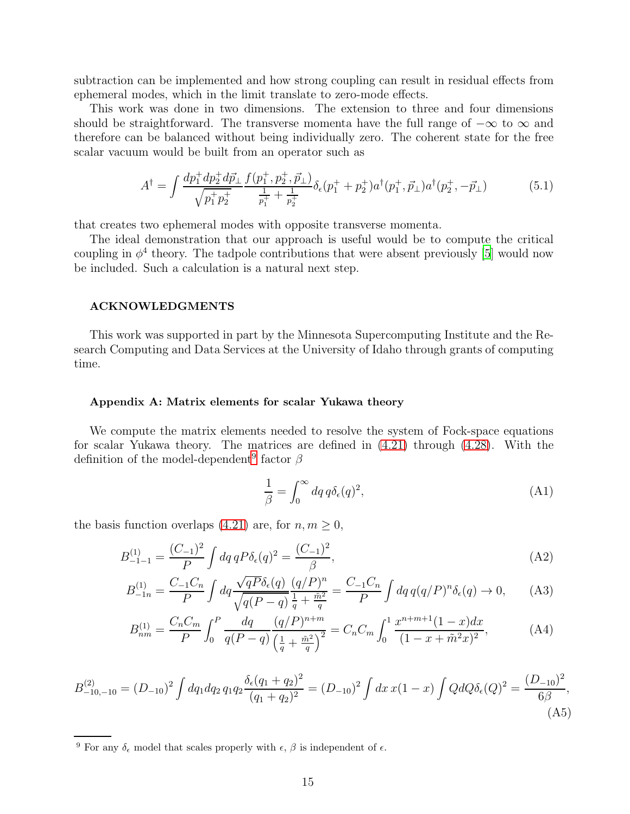subtraction can be implemented and how strong coupling can result in residual effects from ephemeral modes, which in the limit translate to zero-mode effects.

This work was done in two dimensions. The extension to three and four dimensions should be straightforward. The transverse momenta have the full range of  $-\infty$  to  $\infty$  and therefore can be balanced without being individually zero. The coherent state for the free scalar vacuum would be built from an operator such as

$$
A^{\dagger} = \int \frac{dp_1^+ dp_2^+ d\vec{p}_{\perp}}{\sqrt{p_1^+ p_2^+}} \frac{f(p_1^+, p_2^+, \vec{p}_{\perp})}{\frac{1}{p_1^+} + \frac{1}{p_2^+}} \delta_{\epsilon}(p_1^+ + p_2^+) a^{\dagger}(p_1^+, \vec{p}_{\perp}) a^{\dagger}(p_2^+, -\vec{p}_{\perp}) \tag{5.1}
$$

that creates two ephemeral modes with opposite transverse momenta.

The ideal demonstration that our approach is useful would be to compute the critical coupling in  $\phi^4$  theory. The tadpole contributions that were absent previously [\[5](#page-16-1)] would now be included. Such a calculation is a natural next step.

## ACKNOWLEDGMENTS

This work was supported in part by the Minnesota Supercomputing Institute and the Research Computing and Data Services at the University of Idaho through grants of computing time.

#### <span id="page-14-0"></span>Appendix A: Matrix elements for scalar Yukawa theory

We compute the matrix elements needed to resolve the system of Fock-space equations for scalar Yukawa theory. The matrices are defined in [\(4.21\)](#page-11-1) through [\(4.28\)](#page-12-5). With the definition of the model-dependent<sup>[9](#page-14-1)</sup> factor  $\beta$ 

$$
\frac{1}{\beta} = \int_0^\infty dq \, q \delta_\epsilon(q)^2,\tag{A1}
$$

the basis function overlaps [\(4.21\)](#page-11-1) are, for  $n, m \geq 0$ ,

$$
B_{-1-1}^{(1)} = \frac{(C_{-1})^2}{P} \int dq \, q P \delta_{\epsilon}(q)^2 = \frac{(C_{-1})^2}{\beta},\tag{A2}
$$

$$
B_{-1n}^{(1)} = \frac{C_{-1}C_n}{P} \int dq \frac{\sqrt{qP} \delta_{\epsilon}(q)}{\sqrt{q(P-q)}} \frac{(q/P)^n}{\frac{1}{q} + \frac{\tilde{m}^2}{q}} = \frac{C_{-1}C_n}{P} \int dq \, q(q/P)^n \delta_{\epsilon}(q) \to 0, \tag{A3}
$$

$$
B_{nm}^{(1)} = \frac{C_n C_m}{P} \int_0^P \frac{dq}{q(P-q)} \frac{(q/P)^{n+m}}{\left(\frac{1}{q} + \frac{\tilde{m}^2}{q}\right)^2} = C_n C_m \int_0^1 \frac{x^{n+m+1} (1-x) dx}{(1-x+\tilde{m}^2 x)^2},
$$
(A4)

$$
B_{-10,-10}^{(2)} = (D_{-10})^2 \int dq_1 dq_2 q_1 q_2 \frac{\delta_{\epsilon}(q_1 + q_2)^2}{(q_1 + q_2)^2} = (D_{-10})^2 \int dx \, x(1 - x) \int Q dQ \delta_{\epsilon}(Q)^2 = \frac{(D_{-10})^2}{6\beta},\tag{A5}
$$

<span id="page-14-1"></span><sup>&</sup>lt;sup>9</sup> For any  $\delta_{\epsilon}$  model that scales properly with  $\epsilon$ ,  $\beta$  is independent of  $\epsilon$ .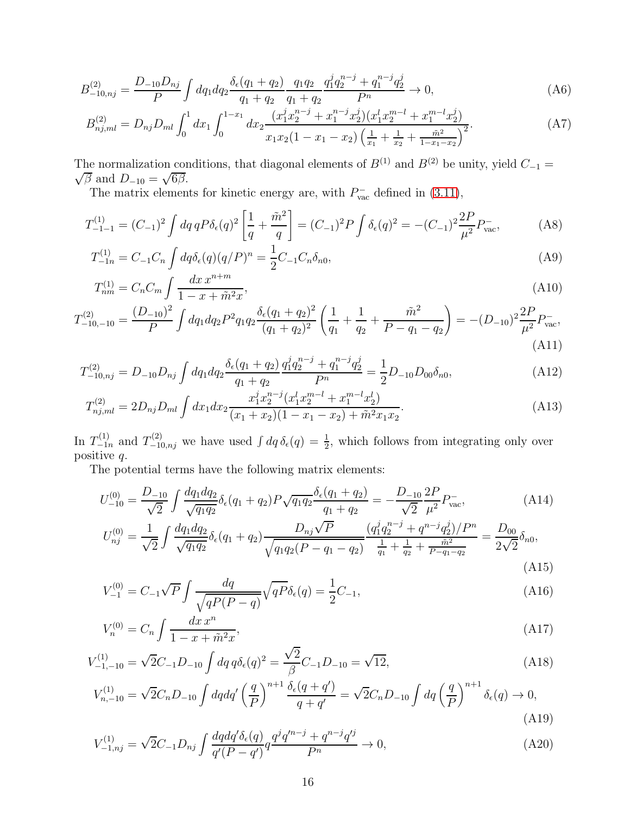$$
B_{-10,nj}^{(2)} = \frac{D_{-10}D_{nj}}{P} \int dq_1 dq_2 \frac{\delta_{\epsilon}(q_1 + q_2)}{q_1 + q_2} \frac{q_1 q_2}{q_1 + q_2} \frac{q_1^j q_2^{n-j} + q_1^{n-j} q_2^j}{P^n} \to 0,
$$
\n(A6)

$$
B_{nj,ml}^{(2)} = D_{nj}D_{ml} \int_0^1 dx_1 \int_0^{1-x_1} dx_2 \frac{(x_1^j x_2^{n-j} + x_1^{n-j} x_2^j)(x_1^l x_2^{m-l} + x_1^{m-l} x_2^j)}{x_1 x_2 (1 - x_1 - x_2) \left(\frac{1}{x_1} + \frac{1}{x_2} + \frac{\tilde{m}^2}{1 - x_1 - x_2}\right)^2}.
$$
 (A7)

The normalization conditions, that diagonal elements of  $B^{(1)}$  and  $B^{(2)}$  be unity, yield  $C_{-1}$  =  $\overline{\beta}$  and  $D_{-10} = \sqrt{6\beta}$ .

The matrix elements for kinetic energy are, with  $P_{\text{vac}}^-$  defined in [\(3.11\)](#page-7-2),

$$
T_{-1-1}^{(1)} = (C_{-1})^2 \int dq \, q \, P \delta_{\epsilon}(q)^2 \left[ \frac{1}{q} + \frac{\tilde{m}^2}{q} \right] = (C_{-1})^2 P \int \delta_{\epsilon}(q)^2 = -(C_{-1})^2 \frac{2P}{\mu^2} P_{\text{vac}}^-, \tag{A8}
$$

$$
T_{-1n}^{(1)} = C_{-1}C_n \int dq \delta_{\epsilon}(q)(q/P)^n = \frac{1}{2}C_{-1}C_n \delta_{n0},\tag{A9}
$$

$$
T_{nm}^{(1)} = C_n C_m \int \frac{dx \, x^{n+m}}{1 - x + \tilde{m}^2 x},\tag{A10}
$$

$$
T_{-10,-10}^{(2)} = \frac{(D_{-10})^2}{P} \int dq_1 dq_2 P^2 q_1 q_2 \frac{\delta_{\epsilon}(q_1+q_2)^2}{(q_1+q_2)^2} \left(\frac{1}{q_1} + \frac{1}{q_2} + \frac{\tilde{m}^2}{P-q_1-q_2}\right) = -(D_{-10})^2 \frac{2P}{\mu^2} P_{\text{vac}}^-,
$$
\n(A11)

$$
T_{-10,nj}^{(2)} = D_{-10}D_{n,j} \int dq_1 dq_2 \frac{\delta_{\epsilon}(q_1 + q_2)}{q_1 + q_2} \frac{q_1^j q_2^{n-j} + q_1^{n-j} q_2^j}{P^n} = \frac{1}{2} D_{-10}D_{00}\delta_{n0},\tag{A12}
$$

$$
T_{nj,ml}^{(2)} = 2D_{nj}D_{ml} \int dx_1 dx_2 \frac{x_1^j x_2^{n-j} (x_1^l x_2^{m-l} + x_1^{m-l} x_2^l)}{(x_1 + x_2)(1 - x_1 - x_2) + \tilde{m}^2 x_1 x_2}.
$$
 (A13)

In  $T_{-1n}^{(1)}$  and  $T_{-10,nj}^{(2)}$  we have used  $\int dq \,\delta_{\epsilon}(q) = \frac{1}{2}$ , which follows from integrating only over positive q.

The potential terms have the following matrix elements:

$$
U_{-10}^{(0)} = \frac{D_{-10}}{\sqrt{2}} \int \frac{dq_1 dq_2}{\sqrt{q_1 q_2}} \delta_{\epsilon}(q_1 + q_2) P \sqrt{q_1 q_2} \frac{\delta_{\epsilon}(q_1 + q_2)}{q_1 + q_2} = -\frac{D_{-10}}{\sqrt{2}} \frac{2P}{\mu^2} P_{\text{vac}}.
$$
 (A14)

$$
U_{nj}^{(0)} = \frac{1}{\sqrt{2}} \int \frac{dq_1 dq_2}{\sqrt{q_1 q_2}} \delta_{\epsilon}(q_1 + q_2) \frac{D_{nj}\sqrt{P}}{\sqrt{q_1 q_2 (P - q_1 - q_2)}} \frac{(q_1^j q_2^{n-j} + q^{n-j} q_2^j)/P^n}{\frac{1}{q_1} + \frac{1}{q_2} + \frac{\tilde{m}^2}{P - q_1 - q_2}} = \frac{D_{00}}{2\sqrt{2}} \delta_{n0},\tag{A15}
$$

$$
V_{-1}^{(0)} = C_{-1}\sqrt{P} \int \frac{dq}{\sqrt{qP(P-q)}} \sqrt{qP} \delta_{\epsilon}(q) = \frac{1}{2}C_{-1},\tag{A16}
$$

$$
V_n^{(0)} = C_n \int \frac{dx \, x^n}{1 - x + \tilde{m}^2 x},\tag{A17}
$$

$$
V_{-1,-10}^{(1)} = \sqrt{2}C_{-1}D_{-10} \int dq \, q \delta_{\epsilon}(q)^2 = \frac{\sqrt{2}}{\beta}C_{-1}D_{-10} = \sqrt{12},\tag{A18}
$$

$$
V_{n,-10}^{(1)} = \sqrt{2}C_n D_{-10} \int dq dq' \left(\frac{q}{P}\right)^{n+1} \frac{\delta_{\epsilon}(q+q')}{q+q'} = \sqrt{2}C_n D_{-10} \int dq \left(\frac{q}{P}\right)^{n+1} \delta_{\epsilon}(q) \to 0,
$$
\n(A19)

$$
V_{-1,nj}^{(1)} = \sqrt{2}C_{-1}D_{nj} \int \frac{dqdq'\delta_{\epsilon}(q)}{q'(P-q')} q\frac{q^{j}q'^{n-j} + q^{n-j}q'^{j}}{P^{n}} \to 0,
$$
\n(A20)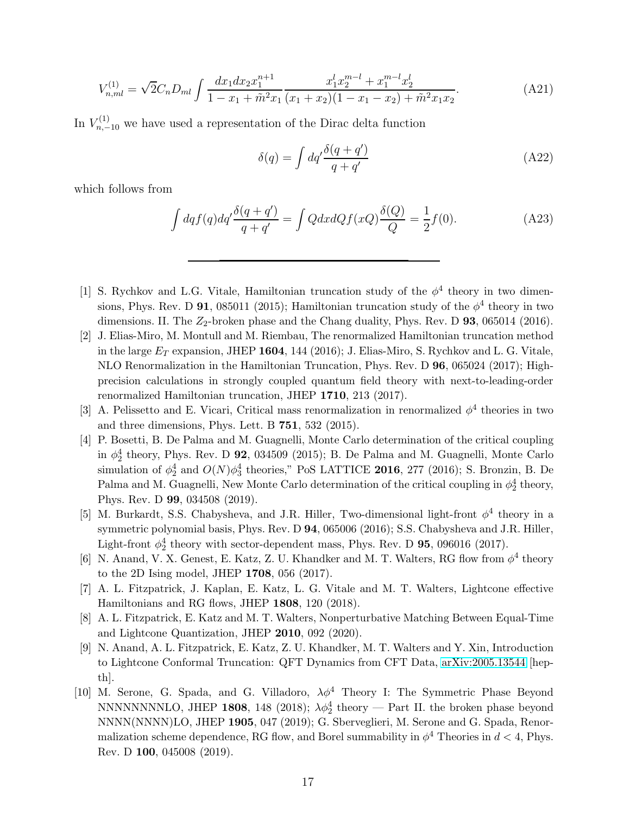$$
V_{n,ml}^{(1)} = \sqrt{2}C_n D_{ml} \int \frac{dx_1 dx_2 x_1^{n+1}}{1 - x_1 + \tilde{m}^2 x_1} \frac{x_1^l x_2^{m-l} + x_1^{m-l} x_2^l}{(x_1 + x_2)(1 - x_1 - x_2) + \tilde{m}^2 x_1 x_2}.
$$
(A21)

In  $V_{n,-10}^{(1)}$  we have used a representation of the Dirac delta function

$$
\delta(q) = \int dq' \frac{\delta(q+q')}{q+q'} \tag{A22}
$$

which follows from

$$
\int dq f(q) dq' \frac{\delta(q+q')}{q+q'} = \int Q dx dQ f(xQ) \frac{\delta(Q)}{Q} = \frac{1}{2} f(0). \tag{A23}
$$

- <span id="page-16-0"></span>[1] S. Rychkov and L.G. Vitale, Hamiltonian truncation study of the  $\phi^4$  theory in two dimensions, Phys. Rev. D 91, 085011 (2015); Hamiltonian truncation study of the  $\phi^4$  theory in two dimensions. II. The  $Z_2$ -broken phase and the Chang duality, Phys. Rev. D  $93$ , 065014 (2016).
- [2] J. Elias-Miro, M. Montull and M. Riembau, The renormalized Hamiltonian truncation method in the large  $E_T$  expansion, JHEP 1604, 144 (2016); J. Elias-Miro, S. Rychkov and L. G. Vitale, NLO Renormalization in the Hamiltonian Truncation, Phys. Rev. D 96, 065024 (2017); Highprecision calculations in strongly coupled quantum field theory with next-to-leading-order renormalized Hamiltonian truncation, JHEP 1710, 213 (2017).
- [3] A. Pelissetto and E. Vicari, Critical mass renormalization in renormalized  $\phi^4$  theories in two and three dimensions, Phys. Lett. B 751, 532 (2015).
- [4] P. Bosetti, B. De Palma and M. Guagnelli, Monte Carlo determination of the critical coupling in  $\phi_2^4$  theory, Phys. Rev. D 92, 034509 (2015); B. De Palma and M. Guagnelli, Monte Carlo simulation of  $\phi_2^4$  and  $O(N)\phi_3^4$  theories," PoS LATTICE 2016, 277 (2016); S. Bronzin, B. De Palma and M. Guagnelli, New Monte Carlo determination of the critical coupling in  $\phi_2^4$  theory, Phys. Rev. D 99, 034508 (2019).
- <span id="page-16-1"></span>[5] M. Burkardt, S.S. Chabysheva, and J.R. Hiller, Two-dimensional light-front  $\phi^4$  theory in a symmetric polynomial basis, Phys. Rev. D 94, 065006 (2016); S.S. Chabysheva and J.R. Hiller, Light-front  $\phi_2^4$  theory with sector-dependent mass, Phys. Rev. D **95**, 096016 (2017).
- <span id="page-16-2"></span>[6] N. Anand, V. X. Genest, E. Katz, Z. U. Khandker and M. T. Walters, RG flow from  $\phi^4$  theory to the 2D Ising model, JHEP 1708, 056 (2017).
- [7] A. L. Fitzpatrick, J. Kaplan, E. Katz, L. G. Vitale and M. T. Walters, Lightcone effective Hamiltonians and RG flows, JHEP 1808, 120 (2018).
- <span id="page-16-3"></span>[8] A. L. Fitzpatrick, E. Katz and M. T. Walters, Nonperturbative Matching Between Equal-Time and Lightcone Quantization, JHEP 2010, 092 (2020).
- [9] N. Anand, A. L. Fitzpatrick, E. Katz, Z. U. Khandker, M. T. Walters and Y. Xin, Introduction to Lightcone Conformal Truncation: QFT Dynamics from CFT Data, [arXiv:2005.13544](http://arxiv.org/abs/2005.13544) [hepth].
- [10] M. Serone, G. Spada, and G. Villadoro,  $\lambda \phi^4$  Theory I: The Symmetric Phase Beyond NNNNNNNLO, JHEP 1808, 148 (2018);  $\lambda \phi_2^4$  theory — Part II. the broken phase beyond NNNN(NNNN)LO, JHEP 1905, 047 (2019); G. Sberveglieri, M. Serone and G. Spada, Renormalization scheme dependence, RG flow, and Borel summability in  $\phi^4$  Theories in  $d < 4$ , Phys. Rev. D 100, 045008 (2019).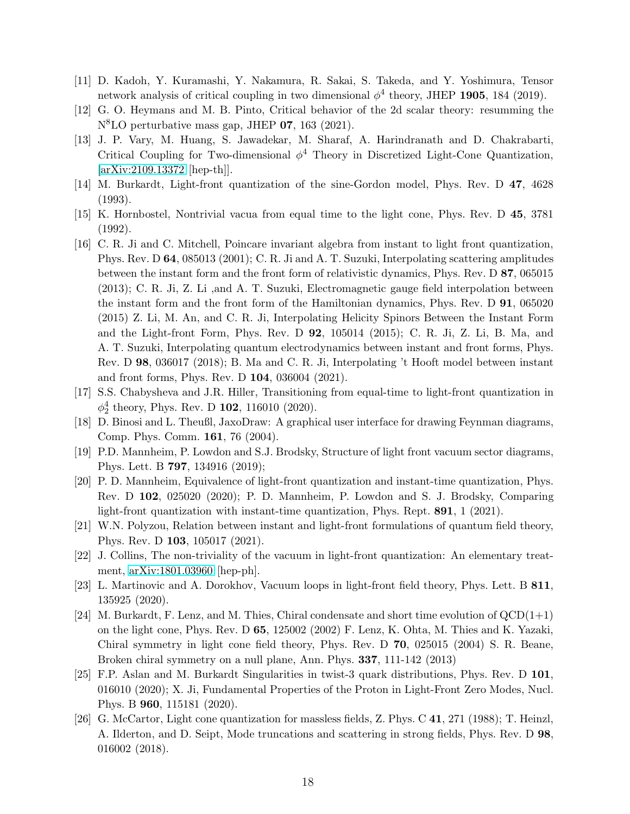- [11] D. Kadoh, Y. Kuramashi, Y. Nakamura, R. Sakai, S. Takeda, and Y. Yoshimura, Tensor network analysis of critical coupling in two dimensional  $\phi^4$  theory, JHEP 1905, 184 (2019).
- [12] G. O. Heymans and M. B. Pinto, Critical behavior of the 2d scalar theory: resumming the N<sup>8</sup>LO perturbative mass gap, JHEP 07, 163 (2021).
- <span id="page-17-0"></span>[13] J. P. Vary, M. Huang, S. Jawadekar, M. Sharaf, A. Harindranath and D. Chakrabarti, Critical Coupling for Two-dimensional  $\phi^4$  Theory in Discretized Light-Cone Quantization, [\[arXiv:2109.13372](http://arxiv.org/abs/2109.13372) [hep-th]].
- <span id="page-17-1"></span>[14] M. Burkardt, Light-front quantization of the sine-Gordon model, Phys. Rev. D 47, 4628 (1993).
- <span id="page-17-2"></span>[15] K. Hornbostel, Nontrivial vacua from equal time to the light cone, Phys. Rev. D 45, 3781 (1992).
- <span id="page-17-3"></span>[16] C. R. Ji and C. Mitchell, Poincare invariant algebra from instant to light front quantization, Phys. Rev. D 64, 085013 (2001); C. R. Ji and A. T. Suzuki, Interpolating scattering amplitudes between the instant form and the front form of relativistic dynamics, Phys. Rev. D 87, 065015 (2013); C. R. Ji, Z. Li ,and A. T. Suzuki, Electromagnetic gauge field interpolation between the instant form and the front form of the Hamiltonian dynamics, Phys. Rev. D 91, 065020 (2015) Z. Li, M. An, and C. R. Ji, Interpolating Helicity Spinors Between the Instant Form and the Light-front Form, Phys. Rev. D 92, 105014 (2015); C. R. Ji, Z. Li, B. Ma, and A. T. Suzuki, Interpolating quantum electrodynamics between instant and front forms, Phys. Rev. D 98, 036017 (2018); B. Ma and C. R. Ji, Interpolating 't Hooft model between instant and front forms, Phys. Rev. D 104, 036004 (2021).
- <span id="page-17-4"></span>[17] S.S. Chabysheva and J.R. Hiller, Transitioning from equal-time to light-front quantization in  $\phi_2^4$  theory, Phys. Rev. D **102**, 116010 (2020).
- <span id="page-17-9"></span>[18] D. Binosi and L. Theußl, JaxoDraw: A graphical user interface for drawing Feynman diagrams, Comp. Phys. Comm. 161, 76 (2004).
- <span id="page-17-5"></span>[19] P.D. Mannheim, P. Lowdon and S.J. Brodsky, Structure of light front vacuum sector diagrams, Phys. Lett. B 797, 134916 (2019);
- <span id="page-17-6"></span>[20] P. D. Mannheim, Equivalence of light-front quantization and instant-time quantization, Phys. Rev. D 102, 025020 (2020); P. D. Mannheim, P. Lowdon and S. J. Brodsky, Comparing light-front quantization with instant-time quantization, Phys. Rept. 891, 1 (2021).
- <span id="page-17-10"></span>[21] W.N. Polyzou, Relation between instant and light-front formulations of quantum field theory, Phys. Rev. D 103, 105017 (2021).
- <span id="page-17-7"></span>[22] J. Collins, The non-triviality of the vacuum in light-front quantization: An elementary treatment, [arXiv:1801.03960](http://arxiv.org/abs/1801.03960) [hep-ph].
- <span id="page-17-8"></span>[23] L. Martinovic and A. Dorokhov, Vacuum loops in light-front field theory, Phys. Lett. B 811, 135925 (2020).
- <span id="page-17-11"></span>[24] M. Burkardt, F. Lenz, and M. Thies, Chiral condensate and short time evolution of QCD(1+1) on the light cone, Phys. Rev. D 65, 125002 (2002) F. Lenz, K. Ohta, M. Thies and K. Yazaki, Chiral symmetry in light cone field theory, Phys. Rev. D 70, 025015 (2004) S. R. Beane, Broken chiral symmetry on a null plane, Ann. Phys. 337, 111-142 (2013)
- <span id="page-17-12"></span>[25] F.P. Aslan and M. Burkardt Singularities in twist-3 quark distributions, Phys. Rev. D 101, 016010 (2020); X. Ji, Fundamental Properties of the Proton in Light-Front Zero Modes, Nucl. Phys. B 960, 115181 (2020).
- <span id="page-17-13"></span>[26] G. McCartor, Light cone quantization for massless fields, Z. Phys. C 41, 271 (1988); T. Heinzl, A. Ilderton, and D. Seipt, Mode truncations and scattering in strong fields, Phys. Rev. D 98, 016002 (2018).